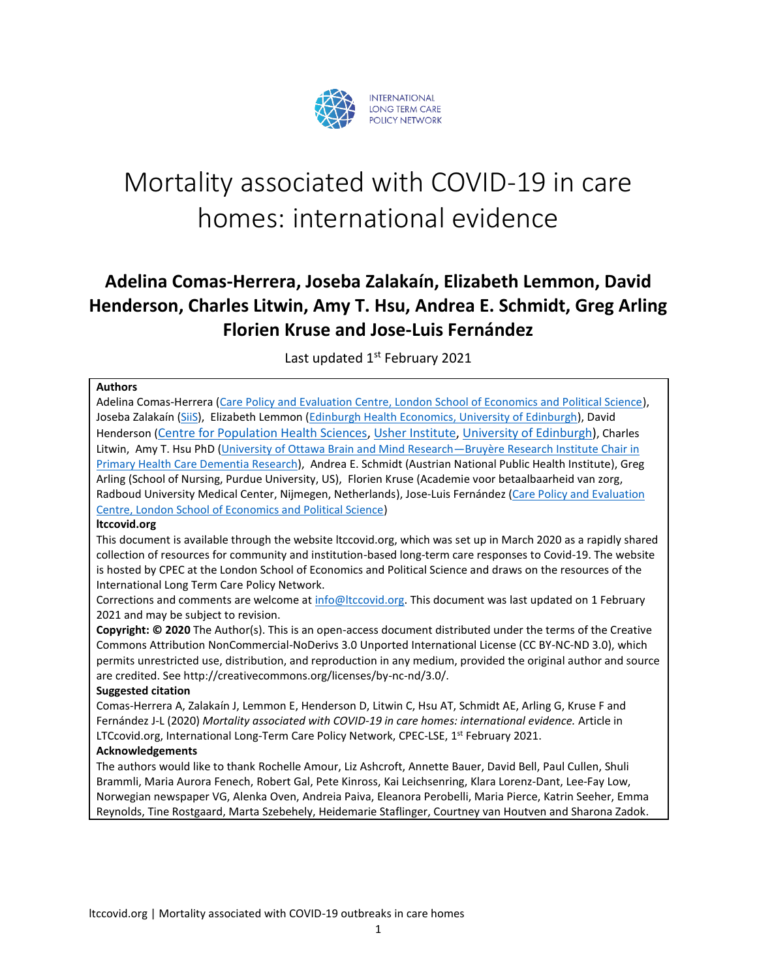

# Mortality associated with COVID-19 in care homes: international evidence

# **Adelina Comas-Herrera, Joseba Zalakaín, Elizabeth Lemmon, David Henderson, Charles Litwin, Amy T. Hsu, Andrea E. Schmidt, Greg Arling Florien Kruse and Jose-Luis Fernández**

Last updated 1<sup>st</sup> February 2021

#### **Authors**

Adelina Comas-Herrera [\(Care Policy and Evaluation Centre, London School of Economics and Political Science\)](http://www.lse.ac.uk/cpec/people/adelina-comas-herrera), Joseba Zalakaín [\(SiiS\)](https://www.siis.net/es/), Elizabeth Lemmon [\(Edinburgh Health Economics, University of Edinburgh\)](https://www.ed.ac.uk/profile/elizabeth-lemmon), David Henderson ([Centre for Population Health Sciences,](https://www.ed.ac.uk/usher/our-centres/population-health-sciences) [Usher Institute,](https://www.ed.ac.uk/usher) [University of Edinburgh\)](https://www.ed.ac.uk/), Charles Litwin, Amy T. Hsu PhD [\(University of Ottawa Brain and Mind Research](https://bruyere.uniweb.network/members/84/profile)—Bruyère Research Institute Chair in [Primary Health Care Dementia Research\)](https://bruyere.uniweb.network/members/84/profile), Andrea E. Schmidt (Austrian National Public Health Institute), Greg Arling (School of Nursing, Purdue University, US), Florien Kruse (Academie voor betaalbaarheid van zorg, Radboud University Medical Center, Nijmegen, Netherlands), Jose-Luis Fernández (Care Policy and Evaluation [Centre, London School of Economics and Political Science\)](http://www.lse.ac.uk/cpec/people/jose-luis-fernandez)

#### **ltccovid.org**

This document is available through the website ltccovid.org, which was set up in March 2020 as a rapidly shared collection of resources for community and institution-based long-term care responses to Covid-19. The website is hosted by CPEC at the London School of Economics and Political Science and draws on the resources of the International Long Term Care Policy Network.

Corrections and comments are welcome at [info@ltccovid.org.](mailto:info@ltccovid.org) This document was last updated on 1 February 2021 and may be subject to revision.

**Copyright: © 2020** The Author(s). This is an open-access document distributed under the terms of the Creative Commons Attribution NonCommercial-NoDerivs 3.0 Unported International License (CC BY-NC-ND 3.0), which permits unrestricted use, distribution, and reproduction in any medium, provided the original author and source are credited. See http://creativecommons.org/licenses/by-nc-nd/3.0/.

#### **Suggested citation**

Comas-Herrera A, Zalakaín J, Lemmon E, Henderson D, Litwin C, Hsu AT, Schmidt AE, Arling G, Kruse F and Fernández J-L (2020) *Mortality associated with COVID-19 in care homes: international evidence.* Article in LTCcovid.org, International Long-Term Care Policy Network, CPEC-LSE, 1<sup>st</sup> February 2021.

#### **Acknowledgements**

The authors would like to thank Rochelle Amour, Liz Ashcroft, Annette Bauer, David Bell, Paul Cullen, Shuli Brammli, Maria Aurora Fenech, Robert Gal, Pete Kinross, Kai Leichsenring, Klara Lorenz-Dant, Lee-Fay Low, Norwegian newspaper VG, Alenka Oven, Andreia Paiva, Eleanora Perobelli, Maria Pierce, Katrin Seeher, Emma Reynolds, Tine Rostgaard, Marta Szebehely, Heidemarie Staflinger, Courtney van Houtven and Sharona Zadok.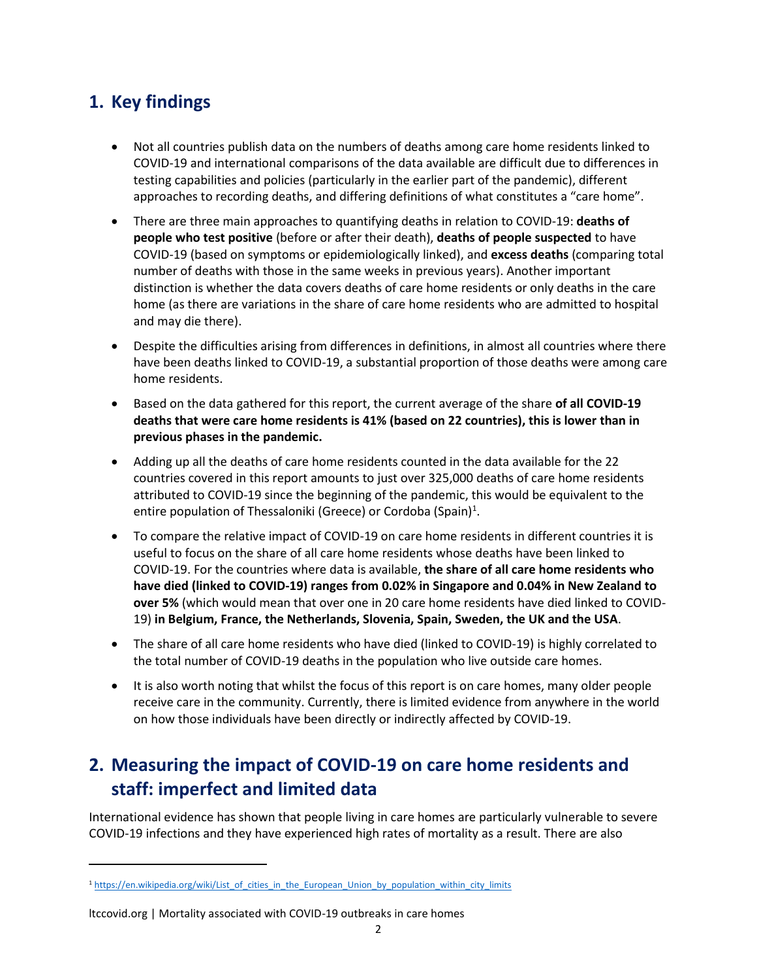# **1. Key findings**

- Not all countries publish data on the numbers of deaths among care home residents linked to COVID-19 and international comparisons of the data available are difficult due to differences in testing capabilities and policies (particularly in the earlier part of the pandemic), different approaches to recording deaths, and differing definitions of what constitutes a "care home".
- There are three main approaches to quantifying deaths in relation to COVID-19: **deaths of people who test positive** (before or after their death), **deaths of people suspected** to have COVID-19 (based on symptoms or epidemiologically linked), and **excess deaths** (comparing total number of deaths with those in the same weeks in previous years). Another important distinction is whether the data covers deaths of care home residents or only deaths in the care home (as there are variations in the share of care home residents who are admitted to hospital and may die there).
- Despite the difficulties arising from differences in definitions, in almost all countries where there have been deaths linked to COVID-19, a substantial proportion of those deaths were among care home residents.
- Based on the data gathered for this report, the current average of the share **of all COVID-19 deaths that were care home residents is 41% (based on 22 countries), this is lower than in previous phases in the pandemic.**
- Adding up all the deaths of care home residents counted in the data available for the 22 countries covered in this report amounts to just over 325,000 deaths of care home residents attributed to COVID-19 since the beginning of the pandemic, this would be equivalent to the entire population of Thessaloniki (Greece) or Cordoba (Spain)<sup>1</sup>.
- To compare the relative impact of COVID-19 on care home residents in different countries it is useful to focus on the share of all care home residents whose deaths have been linked to COVID-19. For the countries where data is available, **the share of all care home residents who have died (linked to COVID-19) ranges from 0.02% in Singapore and 0.04% in New Zealand to over 5%** (which would mean that over one in 20 care home residents have died linked to COVID-19) **in Belgium, France, the Netherlands, Slovenia, Spain, Sweden, the UK and the USA**.
- The share of all care home residents who have died (linked to COVID-19) is highly correlated to the total number of COVID-19 deaths in the population who live outside care homes.
- It is also worth noting that whilst the focus of this report is on care homes, many older people receive care in the community. Currently, there is limited evidence from anywhere in the world on how those individuals have been directly or indirectly affected by COVID-19.

# **2. Measuring the impact of COVID-19 on care home residents and staff: imperfect and limited data**

International evidence has shown that people living in care homes are particularly vulnerable to severe COVID-19 infections and they have experienced high rates of mortality as a result. There are also

<sup>&</sup>lt;sup>1</sup> [https://en.wikipedia.org/wiki/List\\_of\\_cities\\_in\\_the\\_European\\_Union\\_by\\_population\\_within\\_city\\_limits](https://en.wikipedia.org/wiki/List_of_cities_in_the_European_Union_by_population_within_city_limits)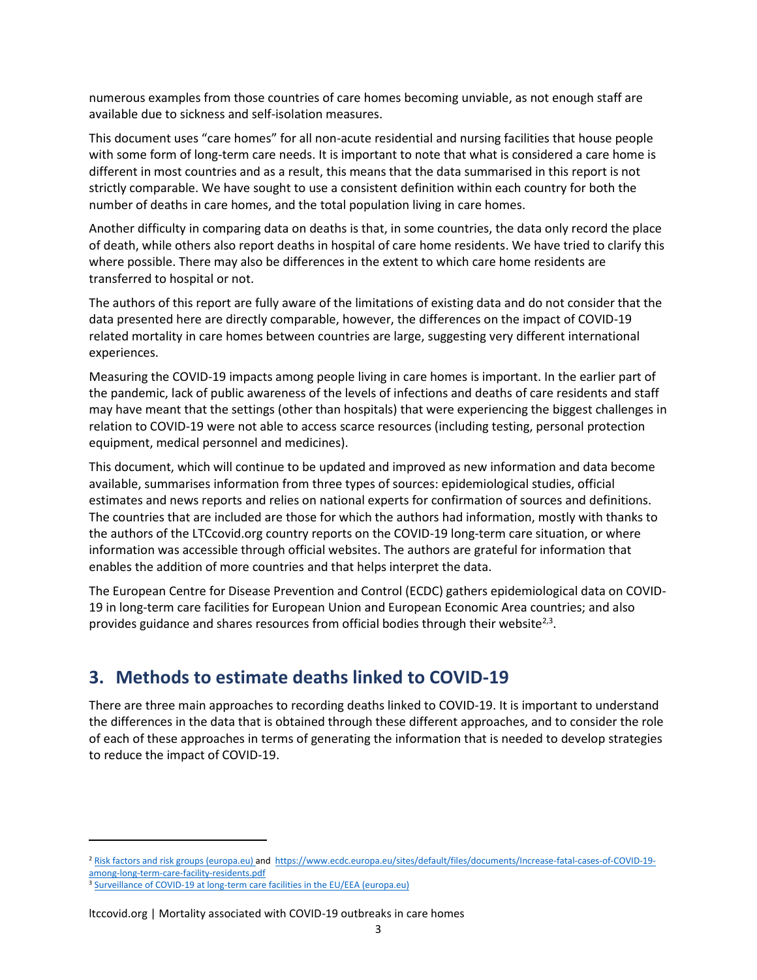numerous examples from those countries of care homes becoming unviable, as not enough staff are available due to sickness and self-isolation measures.

This document uses "care homes" for all non-acute residential and nursing facilities that house people with some form of long-term care needs. It is important to note that what is considered a care home is different in most countries and as a result, this means that the data summarised in this report is not strictly comparable. We have sought to use a consistent definition within each country for both the number of deaths in care homes, and the total population living in care homes.

Another difficulty in comparing data on deaths is that, in some countries, the data only record the place of death, while others also report deaths in hospital of care home residents. We have tried to clarify this where possible. There may also be differences in the extent to which care home residents are transferred to hospital or not.

The authors of this report are fully aware of the limitations of existing data and do not consider that the data presented here are directly comparable, however, the differences on the impact of COVID-19 related mortality in care homes between countries are large, suggesting very different international experiences.

Measuring the COVID-19 impacts among people living in care homes is important. In the earlier part of the pandemic, lack of public awareness of the levels of infections and deaths of care residents and staff may have meant that the settings (other than hospitals) that were experiencing the biggest challenges in relation to COVID-19 were not able to access scarce resources (including testing, personal protection equipment, medical personnel and medicines).

This document, which will continue to be updated and improved as new information and data become available, summarises information from three types of sources: epidemiological studies, official estimates and news reports and relies on national experts for confirmation of sources and definitions. The countries that are included are those for which the authors had information, mostly with thanks to the authors of the LTCcovid.org country reports on the COVID-19 long-term care situation, or where information was accessible through official websites. The authors are grateful for information that enables the addition of more countries and that helps interpret the data.

The European Centre for Disease Prevention and Control (ECDC) gathers epidemiological data on COVID-19 in long-term care facilities for European Union and European Economic Area countries; and also provides guidance and shares resources from official bodies through their website<sup>2,3</sup>.

# **3. Methods to estimate deaths linked to COVID-19**

There are three main approaches to recording deaths linked to COVID-19. It is important to understand the differences in the data that is obtained through these different approaches, and to consider the role of each of these approaches in terms of generating the information that is needed to develop strategies to reduce the impact of COVID-19.

<sup>&</sup>lt;sup>2</sup> [Risk factors and risk groups \(europa.eu\)](https://www.ecdc.europa.eu/en/covid-19/latest-evidence/epidemiology) and [https://www.ecdc.europa.eu/sites/default/files/documents/Increase-fatal-cases-of-COVID-19](https://www.ecdc.europa.eu/sites/default/files/documents/Increase-fatal-cases-of-COVID-19-among-long-term-care-facility-residents.pdf) [among-long-term-care-facility-residents.pdf](https://www.ecdc.europa.eu/sites/default/files/documents/Increase-fatal-cases-of-COVID-19-among-long-term-care-facility-residents.pdf)

<sup>&</sup>lt;sup>3</sup> [Surveillance of COVID-19 at long-term care facilities in the EU/EEA \(europa.eu\)](https://www.ecdc.europa.eu/en/publications-data/surveillance-COVID-19-long-term-care-facilities-EU-EEA)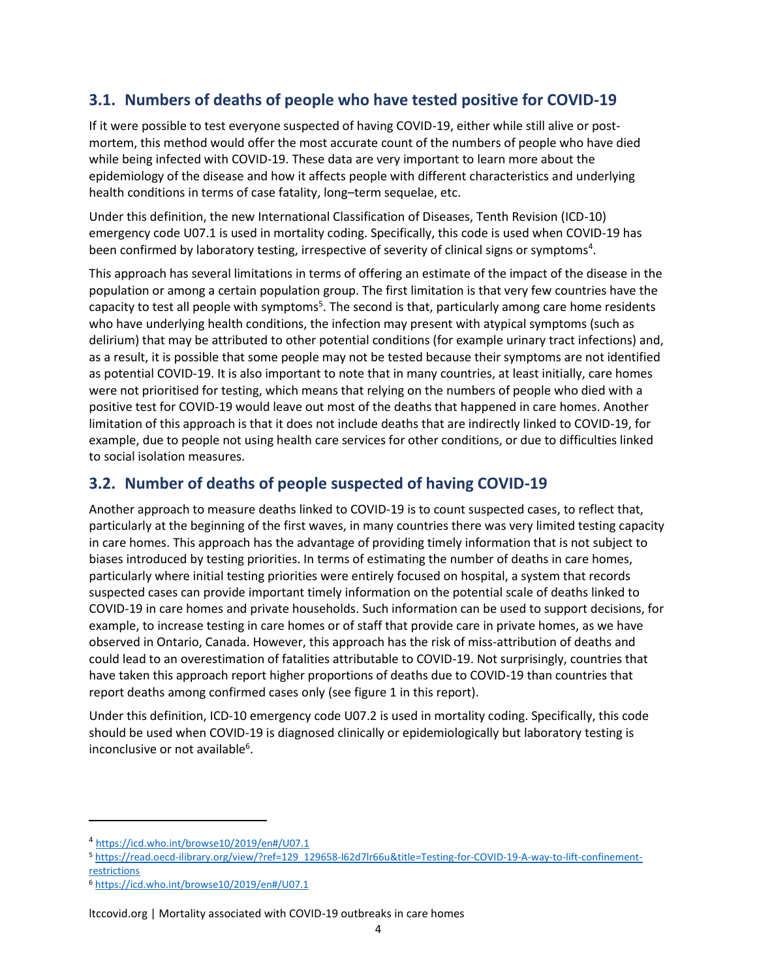### **3.1. Numbers of deaths of people who have tested positive for COVID-19**

If it were possible to test everyone suspected of having COVID-19, either while still alive or postmortem, this method would offer the most accurate count of the numbers of people who have died while being infected with COVID-19. These data are very important to learn more about the epidemiology of the disease and how it affects people with different characteristics and underlying health conditions in terms of case fatality, long–term sequelae, etc.

Under this definition, the new International Classification of Diseases, Tenth Revision (ICD-10) emergency code U07.1 is used in mortality coding. Specifically, this code is used when COVID-19 has been confirmed by laboratory testing, irrespective of severity of clinical signs or symptoms<sup>4</sup>.

This approach has several limitations in terms of offering an estimate of the impact of the disease in the population or among a certain population group. The first limitation is that very few countries have the capacity to test all people with symptoms<sup>5</sup>. The second is that, particularly among care home residents who have underlying health conditions, the infection may present with atypical symptoms (such as delirium) that may be attributed to other potential conditions (for example urinary tract infections) and, as a result, it is possible that some people may not be tested because their symptoms are not identified as potential COVID-19. It is also important to note that in many countries, at least initially, care homes were not prioritised for testing, which means that relying on the numbers of people who died with a positive test for COVID-19 would leave out most of the deaths that happened in care homes. Another limitation of this approach is that it does not include deaths that are indirectly linked to COVID-19, for example, due to people not using health care services for other conditions, or due to difficulties linked to social isolation measures.

### **3.2. Number of deaths of people suspected of having COVID-19**

Another approach to measure deaths linked to COVID-19 is to count suspected cases, to reflect that, particularly at the beginning of the first waves, in many countries there was very limited testing capacity in care homes. This approach has the advantage of providing timely information that is not subject to biases introduced by testing priorities. In terms of estimating the number of deaths in care homes, particularly where initial testing priorities were entirely focused on hospital, a system that records suspected cases can provide important timely information on the potential scale of deaths linked to COVID-19 in care homes and private households. Such information can be used to support decisions, for example, to increase testing in care homes or of staff that provide care in private homes, as we have observed in Ontario, Canada. However, this approach has the risk of miss-attribution of deaths and could lead to an overestimation of fatalities attributable to COVID-19. Not surprisingly, countries that have taken this approach report higher proportions of deaths due to COVID-19 than countries that report deaths among confirmed cases only (see figure 1 in this report).

Under this definition, ICD-10 emergency code U07.2 is used in mortality coding. Specifically, this code should be used when COVID-19 is diagnosed clinically or epidemiologically but laboratory testing is inconclusive or not available<sup>6</sup>.

<sup>4</sup> <https://icd.who.int/browse10/2019/en#/U07.1>

<sup>5</sup> [https://read.oecd-ilibrary.org/view/?ref=129\\_129658-l62d7lr66u&title=Testing-for-COVID-19-A-way-to-lift-confinement](https://read.oecd-ilibrary.org/view/?ref=129_129658-l62d7lr66u&title=Testing-for-COVID-19-A-way-to-lift-confinement-restrictions)[restrictions](https://read.oecd-ilibrary.org/view/?ref=129_129658-l62d7lr66u&title=Testing-for-COVID-19-A-way-to-lift-confinement-restrictions)

<sup>6</sup> <https://icd.who.int/browse10/2019/en#/U07.1>

ltccovid.org | Mortality associated with COVID-19 outbreaks in care homes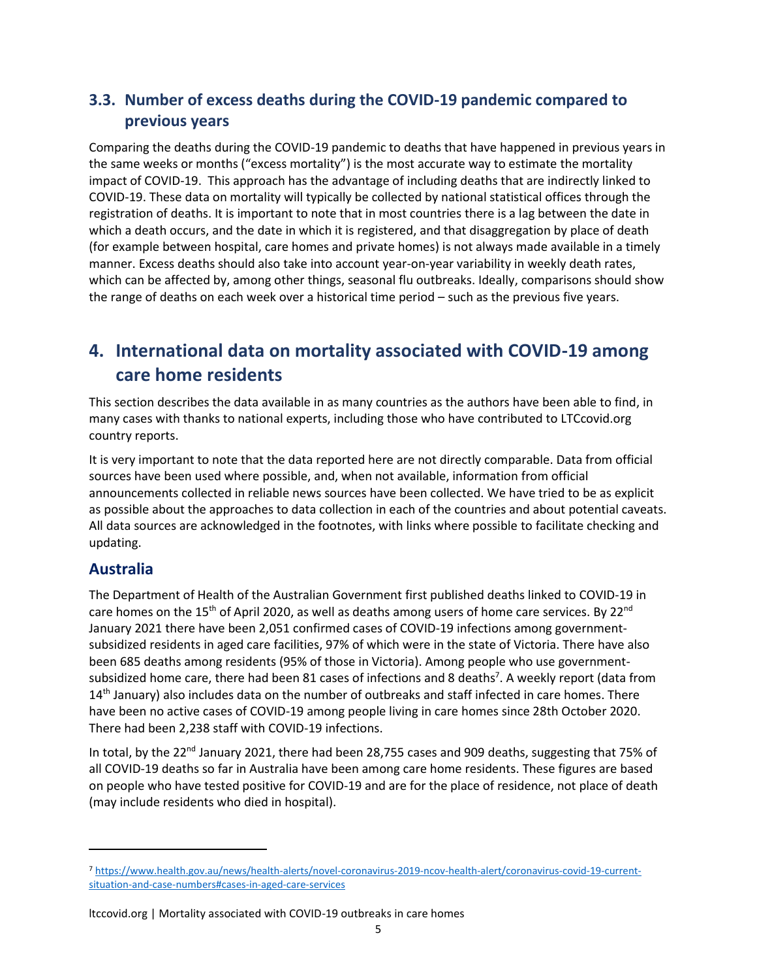### **3.3. Number of excess deaths during the COVID-19 pandemic compared to previous years**

Comparing the deaths during the COVID-19 pandemic to deaths that have happened in previous years in the same weeks or months ("excess mortality") is the most accurate way to estimate the mortality impact of COVID-19. This approach has the advantage of including deaths that are indirectly linked to COVID-19. These data on mortality will typically be collected by national statistical offices through the registration of deaths. It is important to note that in most countries there is a lag between the date in which a death occurs, and the date in which it is registered, and that disaggregation by place of death (for example between hospital, care homes and private homes) is not always made available in a timely manner. Excess deaths should also take into account year-on-year variability in weekly death rates, which can be affected by, among other things, seasonal flu outbreaks. Ideally, comparisons should show the range of deaths on each week over a historical time period – such as the previous five years.

# **4. International data on mortality associated with COVID-19 among care home residents**

This section describes the data available in as many countries as the authors have been able to find, in many cases with thanks to national experts, including those who have contributed to LTCcovid.org country reports.

It is very important to note that the data reported here are not directly comparable. Data from official sources have been used where possible, and, when not available, information from official announcements collected in reliable news sources have been collected. We have tried to be as explicit as possible about the approaches to data collection in each of the countries and about potential caveats. All data sources are acknowledged in the footnotes, with links where possible to facilitate checking and updating.

### **Australia**

The Department of Health of the Australian Government first published deaths linked to COVID-19 in care homes on the 15<sup>th</sup> of April 2020, as well as deaths among users of home care services. By 22<sup>nd</sup> January 2021 there have been 2,051 confirmed cases of COVID-19 infections among governmentsubsidized residents in aged care facilities, 97% of which were in the state of Victoria. There have also been 685 deaths among residents (95% of those in Victoria). Among people who use governmentsubsidized home care, there had been 81 cases of infections and 8 deaths<sup>7</sup>. A weekly report (data from 14<sup>th</sup> January) also includes data on the number of outbreaks and staff infected in care homes. There have been no active cases of COVID-19 among people living in care homes since 28th October 2020. There had been 2,238 staff with COVID-19 infections.

In total, by the  $22<sup>nd</sup>$  January 2021, there had been 28,755 cases and 909 deaths, suggesting that 75% of all COVID-19 deaths so far in Australia have been among care home residents. These figures are based on people who have tested positive for COVID-19 and are for the place of residence, not place of death (may include residents who died in hospital).

<sup>7</sup> [https://www.health.gov.au/news/health-alerts/novel-coronavirus-2019-ncov-health-alert/coronavirus-covid-19-current](https://www.health.gov.au/news/health-alerts/novel-coronavirus-2019-ncov-health-alert/coronavirus-covid-19-current-situation-and-case-numbers#cases-in-aged-care-services)[situation-and-case-numbers#cases-in-aged-care-services](https://www.health.gov.au/news/health-alerts/novel-coronavirus-2019-ncov-health-alert/coronavirus-covid-19-current-situation-and-case-numbers#cases-in-aged-care-services)

ltccovid.org | Mortality associated with COVID-19 outbreaks in care homes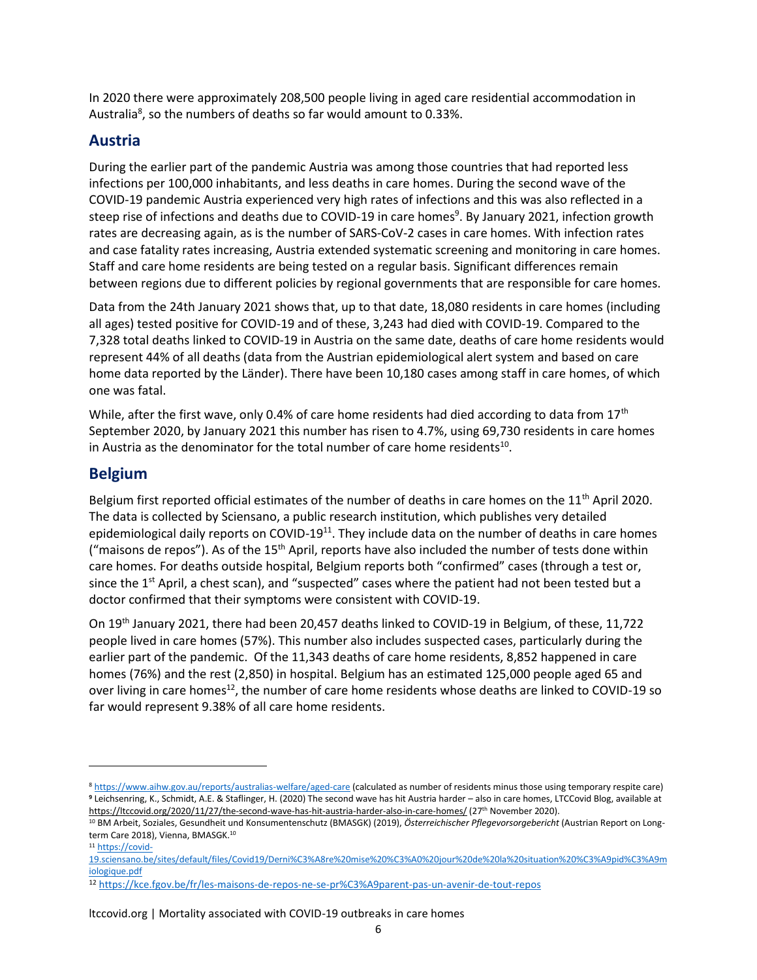In 2020 there were approximately 208,500 people living in aged care residential accommodation in Australia<sup>8</sup>, so the numbers of deaths so far would amount to 0.33%.

### **Austria**

During the earlier part of the pandemic Austria was among those countries that had reported less infections per 100,000 inhabitants, and less deaths in care homes. During the second wave of the COVID-19 pandemic Austria experienced very high rates of infections and this was also reflected in a steep rise of infections and deaths due to COVID-19 in care homes<sup>9</sup>. By January 2021, infection growth rates are decreasing again, as is the number of SARS-CoV-2 cases in care homes. With infection rates and case fatality rates increasing, Austria extended systematic screening and monitoring in care homes. Staff and care home residents are being tested on a regular basis. Significant differences remain between regions due to different policies by regional governments that are responsible for care homes.

Data from the 24th January 2021 shows that, up to that date, 18,080 residents in care homes (including all ages) tested positive for COVID-19 and of these, 3,243 had died with COVID-19. Compared to the 7,328 total deaths linked to COVID-19 in Austria on the same date, deaths of care home residents would represent 44% of all deaths (data from the Austrian epidemiological alert system and based on care home data reported by the Länder). There have been 10,180 cases among staff in care homes, of which one was fatal.

While, after the first wave, only 0.4% of care home residents had died according to data from  $17<sup>th</sup>$ September 2020, by January 2021 this number has risen to 4.7%, using 69,730 residents in care homes in Austria as the denominator for the total number of care home residents $^{10}$ .

### **Belgium**

Belgium first reported official estimates of the number of deaths in care homes on the 11<sup>th</sup> April 2020. The data is collected by Sciensano, a public research institution, which publishes very detailed epidemiological daily reports on COVID-19<sup>11</sup>. They include data on the number of deaths in care homes ("maisons de repos"). As of the  $15<sup>th</sup>$  April, reports have also included the number of tests done within care homes. For deaths outside hospital, Belgium reports both "confirmed" cases (through a test or, since the  $1<sup>st</sup>$  April, a chest scan), and "suspected" cases where the patient had not been tested but a doctor confirmed that their symptoms were consistent with COVID-19.

On 19th January 2021, there had been 20,457 deaths linked to COVID-19 in Belgium, of these, 11,722 people lived in care homes (57%). This number also includes suspected cases, particularly during the earlier part of the pandemic. Of the 11,343 deaths of care home residents, 8,852 happened in care homes (76%) and the rest (2,850) in hospital. Belgium has an estimated 125,000 people aged 65 and over living in care homes<sup>12</sup>, the number of care home residents whose deaths are linked to COVID-19 so far would represent 9.38% of all care home residents.

<sup>8</sup> <https://www.aihw.gov.au/reports/australias-welfare/aged-care> (calculated as number of residents minus those using temporary respite care) **<sup>9</sup>** Leichsenring, K., Schmidt, A.E. & Staflinger, H. (2020) The second wave has hit Austria harder – also in care homes, LTCCovid Blog, available at <https://ltccovid.org/2020/11/27/the-second-wave-has-hit-austria-harder-also-in-care-homes/> (27<sup>th</sup> November 2020).

<sup>10</sup> BM Arbeit, Soziales, Gesundheit und Konsumentenschutz (BMASGK) (2019), *Österreichischer Pflegevorsorgebericht* (Austrian Report on Longterm Care 2018), Vienna, BMASGK.<sup>10</sup>

<sup>11</sup> [https://covid-](https://covid-19.sciensano.be/sites/default/files/Covid19/Derni%C3%A8re%20mise%20%C3%A0%20jour%20de%20la%20situation%20%C3%A9pid%C3%A9miologique.pdf)

[<sup>19.</sup>sciensano.be/sites/default/files/Covid19/Derni%C3%A8re%20mise%20%C3%A0%20jour%20de%20la%20situation%20%C3%A9pid%C3%A9m](https://covid-19.sciensano.be/sites/default/files/Covid19/Derni%C3%A8re%20mise%20%C3%A0%20jour%20de%20la%20situation%20%C3%A9pid%C3%A9miologique.pdf) [iologique.pdf](https://covid-19.sciensano.be/sites/default/files/Covid19/Derni%C3%A8re%20mise%20%C3%A0%20jour%20de%20la%20situation%20%C3%A9pid%C3%A9miologique.pdf)

<sup>12</sup> <https://kce.fgov.be/fr/les-maisons-de-repos-ne-se-pr%C3%A9parent-pas-un-avenir-de-tout-repos>

ltccovid.org | Mortality associated with COVID-19 outbreaks in care homes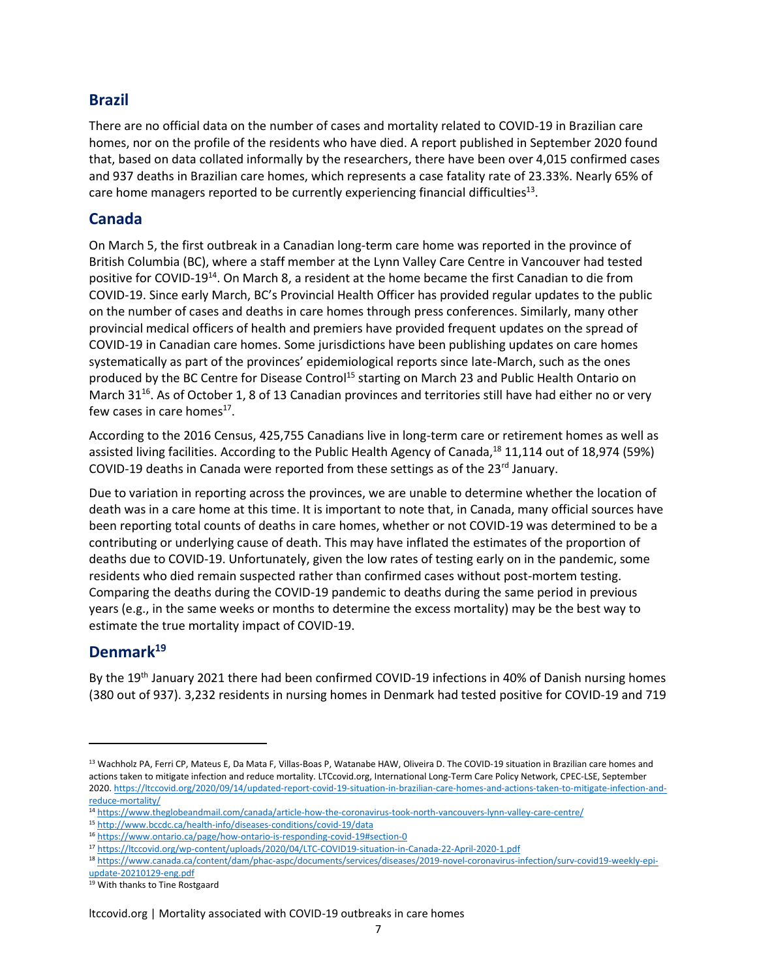### **Brazil**

There are no official data on the number of cases and mortality related to COVID-19 in Brazilian care homes, nor on the profile of the residents who have died. A report published in September 2020 found that, based on data collated informally by the researchers, there have been over 4,015 confirmed cases and 937 deaths in Brazilian care homes, which represents a case fatality rate of 23.33%. Nearly 65% of care home managers reported to be currently experiencing financial difficulties<sup>13</sup>.

### **Canada**

On March 5, the first outbreak in a Canadian long-term care home was reported in the province of British Columbia (BC), where a staff member at the Lynn Valley Care Centre in Vancouver had tested positive for COVID-19<sup>14</sup>. On March 8, a resident at the home became the first Canadian to die from COVID-19. Since early March, BC's Provincial Health Officer has provided regular updates to the public on the number of cases and deaths in care homes through press conferences. Similarly, many other provincial medical officers of health and premiers have provided frequent updates on the spread of COVID-19 in Canadian care homes. Some jurisdictions have been publishing updates on care homes systematically as part of the provinces' epidemiological reports since late-March, such as the ones produced by the BC Centre for Disease Control<sup>15</sup> starting on March 23 and Public Health Ontario on March 31<sup>16</sup>. As of October 1, 8 of 13 Canadian provinces and territories still have had either no or very few cases in care homes $^{17}$ .

According to the 2016 Census, 425,755 Canadians live in long-term care or retirement homes as well as assisted living facilities. According to the Public Health Agency of Canada,<sup>18</sup> 11,114 out of 18,974 (59%) COVID-19 deaths in Canada were reported from these settings as of the  $23<sup>rd</sup>$  January.

Due to variation in reporting across the provinces, we are unable to determine whether the location of death was in a care home at this time. It is important to note that, in Canada, many official sources have been reporting total counts of deaths in care homes, whether or not COVID-19 was determined to be a contributing or underlying cause of death. This may have inflated the estimates of the proportion of deaths due to COVID-19. Unfortunately, given the low rates of testing early on in the pandemic, some residents who died remain suspected rather than confirmed cases without post-mortem testing. Comparing the deaths during the COVID-19 pandemic to deaths during the same period in previous years (e.g., in the same weeks or months to determine the excess mortality) may be the best way to estimate the true mortality impact of COVID-19.

### **Denmark<sup>19</sup>**

By the 19<sup>th</sup> January 2021 there had been confirmed COVID-19 infections in 40% of Danish nursing homes (380 out of 937). 3,232 residents in nursing homes in Denmark had tested positive for COVID-19 and 719

<sup>&</sup>lt;sup>13</sup> Wachholz PA, Ferri CP, Mateus E, Da Mata F, Villas-Boas P, Watanabe HAW, Oliveira D. The COVID-19 situation in Brazilian care homes and actions taken to mitigate infection and reduce mortality. LTCcovid.org, International Long-Term Care Policy Network, CPEC-LSE, September 2020[. https://ltccovid.org/2020/09/14/updated-report-covid-19-situation-in-brazilian-care-homes-and-actions-taken-to-mitigate-infection-and](https://ltccovid.org/2020/09/14/updated-report-covid-19-situation-in-brazilian-care-homes-and-actions-taken-to-mitigate-infection-and-reduce-mortality/)[reduce-mortality/](https://ltccovid.org/2020/09/14/updated-report-covid-19-situation-in-brazilian-care-homes-and-actions-taken-to-mitigate-infection-and-reduce-mortality/)

<sup>14</sup> <https://www.theglobeandmail.com/canada/article-how-the-coronavirus-took-north-vancouvers-lynn-valley-care-centre/>

<sup>15</sup> <http://www.bccdc.ca/health-info/diseases-conditions/covid-19/data>

<sup>16</sup> <https://www.ontario.ca/page/how-ontario-is-responding-covid-19#section-0>

<sup>17</sup> <https://ltccovid.org/wp-content/uploads/2020/04/LTC-COVID19-situation-in-Canada-22-April-2020-1.pdf>

<sup>18</sup> [https://www.canada.ca/content/dam/phac-aspc/documents/services/diseases/2019-novel-coronavirus-infection/surv-covid19-weekly-epi](https://www.canada.ca/content/dam/phac-aspc/documents/services/diseases/2019-novel-coronavirus-infection/surv-covid19-weekly-epi-update-20210129-eng.pdf)[update-20210129-eng.pdf](https://www.canada.ca/content/dam/phac-aspc/documents/services/diseases/2019-novel-coronavirus-infection/surv-covid19-weekly-epi-update-20210129-eng.pdf)

<sup>19</sup> With thanks to Tine Rostgaard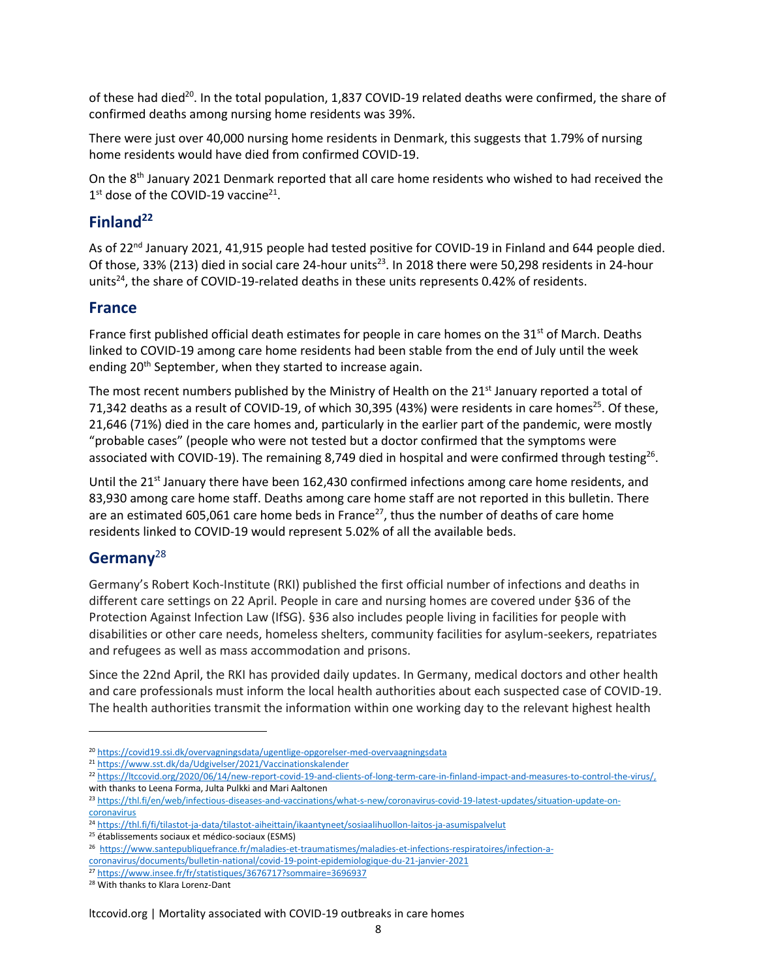of these had died<sup>20</sup>. In the total population, 1,837 COVID-19 related deaths were confirmed, the share of confirmed deaths among nursing home residents was 39%.

There were just over 40,000 nursing home residents in Denmark, this suggests that 1.79% of nursing home residents would have died from confirmed COVID-19.

On the 8<sup>th</sup> January 2021 Denmark reported that all care home residents who wished to had received the  $1<sup>st</sup>$  dose of the COVID-19 vaccine<sup>21</sup>.

### **Finland<sup>22</sup>**

As of 22<sup>nd</sup> January 2021, 41,915 people had tested positive for COVID-19 in Finland and 644 people died. Of those, 33% (213) died in social care 24-hour units<sup>23</sup>. In 2018 there were 50,298 residents in 24-hour units<sup>24</sup>, the share of COVID-19-related deaths in these units represents 0.42% of residents.

### **France**

France first published official death estimates for people in care homes on the  $31<sup>st</sup>$  of March. Deaths linked to COVID-19 among care home residents had been stable from the end of July until the week ending 20<sup>th</sup> September, when they started to increase again.

The most recent numbers published by the Ministry of Health on the  $21<sup>st</sup>$  January reported a total of 71,342 deaths as a result of COVID-19, of which 30,395 (43%) were residents in care homes<sup>25</sup>. Of these, 21,646 (71%) died in the care homes and, particularly in the earlier part of the pandemic, were mostly "probable cases" (people who were not tested but a doctor confirmed that the symptoms were associated with COVID-19). The remaining 8,749 died in hospital and were confirmed through testing<sup>26</sup>.

Until the 21<sup>st</sup> January there have been 162,430 confirmed infections among care home residents, and 83,930 among care home staff. Deaths among care home staff are not reported in this bulletin. There are an estimated 605,061 care home beds in France<sup>27</sup>, thus the number of deaths of care home residents linked to COVID-19 would represent 5.02% of all the available beds.

### **Germany**<sup>28</sup>

Germany's Robert Koch-Institute (RKI) published the first official number of infections and deaths in different care settings on 22 April. People in care and nursing homes are covered under §36 of the Protection Against Infection Law (IfSG). §36 also includes people living in facilities for people with disabilities or other care needs, homeless shelters, community facilities for asylum-seekers, repatriates and refugees as well as mass accommodation and prisons.

Since the 22nd April, the RKI has provided daily updates. In Germany, medical doctors and other health and care professionals must inform the local health authorities about each suspected case of COVID-19. The health authorities transmit the information within one working day to the relevant highest health

<sup>&</sup>lt;sup>20</sup> https://covid19.ssi.dk/overvagningsdata/ugentlige-opgorelser-med-overvaagningsdata

<sup>21</sup> <https://www.sst.dk/da/Udgivelser/2021/Vaccinationskalender>

<sup>22</sup> [https://ltccovid.org/2020/06/14/new-report-covid-19-and-clients-of-long-term-care-in-finland-impact-and-measures-to-control-the-virus/,](https://ltccovid.org/2020/06/14/new-report-covid-19-and-clients-of-long-term-care-in-finland-impact-and-measures-to-control-the-virus/)  with thanks to Leena Forma, Julta Pulkki and Mari Aaltonen

<sup>23</sup> [https://thl.fi/en/web/infectious-diseases-and-vaccinations/what-s-new/coronavirus-covid-19-latest-updates/situation-update-on](https://thl.fi/en/web/infectious-diseases-and-vaccinations/what-s-new/coronavirus-covid-19-latest-updates/situation-update-on-coronavirus)[coronavirus](https://thl.fi/en/web/infectious-diseases-and-vaccinations/what-s-new/coronavirus-covid-19-latest-updates/situation-update-on-coronavirus)

<sup>24</sup> <https://thl.fi/fi/tilastot-ja-data/tilastot-aiheittain/ikaantyneet/sosiaalihuollon-laitos-ja-asumispalvelut>

<sup>25</sup> établissements sociaux et médico-sociaux (ESMS)

<sup>26</sup> https://www.santepubliquefrance.fr/maladies-et-traumatismes/maladies-et-infections-respiratoires/infection-a-

coronavirus/documents/bulletin-national/covid-19-point-epidemiologique-du-21-janvier-2021

<sup>27</sup> <https://www.insee.fr/fr/statistiques/3676717?sommaire=3696937>

<sup>28</sup> With thanks to Klara Lorenz-Dant

ltccovid.org | Mortality associated with COVID-19 outbreaks in care homes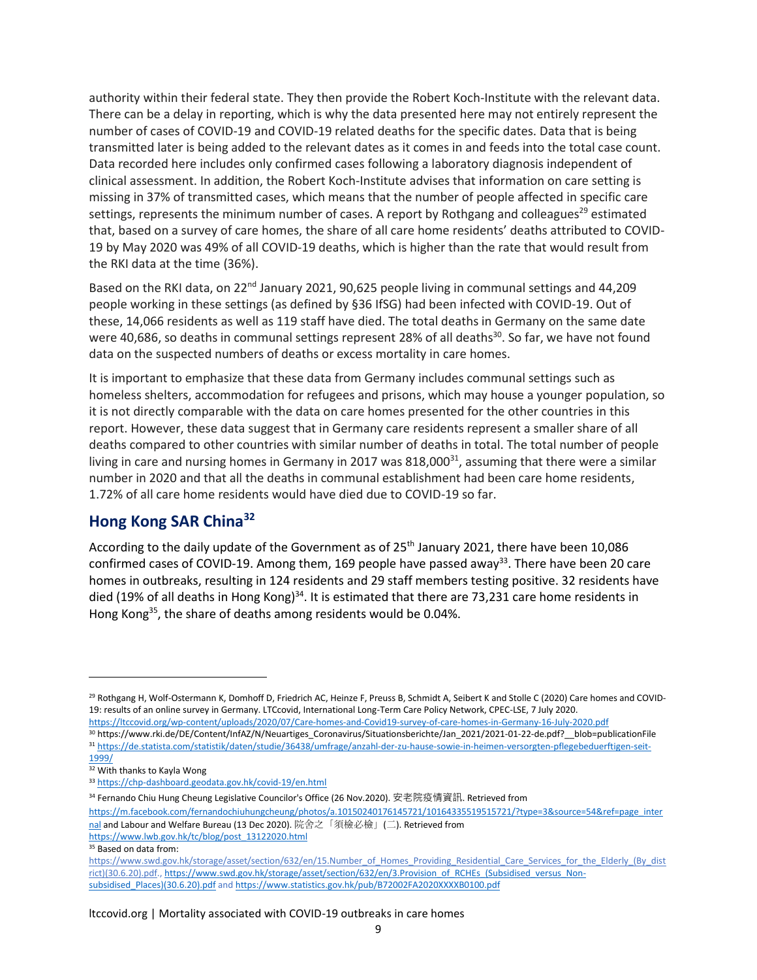authority within their federal state. They then provide the Robert Koch-Institute with the relevant data. There can be a delay in reporting, which is why the data presented here may not entirely represent the number of cases of COVID-19 and COVID-19 related deaths for the specific dates. Data that is being transmitted later is being added to the relevant dates as it comes in and feeds into the total case count. Data recorded here includes only confirmed cases following a laboratory diagnosis independent of clinical assessment. In addition, the Robert Koch-Institute advises that information on care setting is missing in 37% of transmitted cases, which means that the number of people affected in specific care settings, represents the minimum number of cases. A report by Rothgang and colleagues<sup>29</sup> estimated that, based on a survey of care homes, the share of all care home residents' deaths attributed to COVID-19 by May 2020 was 49% of all COVID-19 deaths, which is higher than the rate that would result from the RKI data at the time (36%).

Based on the RKI data, on  $22^{nd}$  January 2021, 90,625 people living in communal settings and 44,209 people working in these settings (as defined by §36 IfSG) had been infected with COVID-19. Out of these, 14,066 residents as well as 119 staff have died. The total deaths in Germany on the same date were 40,686, so deaths in communal settings represent 28% of all deaths<sup>30</sup>. So far, we have not found data on the suspected numbers of deaths or excess mortality in care homes.

It is important to emphasize that these data from Germany includes communal settings such as homeless shelters, accommodation for refugees and prisons, which may house a younger population, so it is not directly comparable with the data on care homes presented for the other countries in this report. However, these data suggest that in Germany care residents represent a smaller share of all deaths compared to other countries with similar number of deaths in total. The total number of people living in care and nursing homes in Germany in 2017 was  $818,000^{31}$ , assuming that there were a similar number in 2020 and that all the deaths in communal establishment had been care home residents, 1.72% of all care home residents would have died due to COVID-19 so far.

### **Hong Kong SAR China<sup>32</sup>**

According to the daily update of the Government as of 25<sup>th</sup> January 2021, there have been 10,086 confirmed cases of COVID-19. Among them, 169 people have passed away<sup>33</sup>. There have been 20 care homes in outbreaks, resulting in 124 residents and 29 staff members testing positive. 32 residents have died (19% of all deaths in Hong Kong)<sup>34</sup>. It is estimated that there are 73,231 care home residents in Hong Kong<sup>35</sup>, the share of deaths among residents would be 0.04%.

<sup>29</sup> Rothgang H, Wolf-Ostermann K, Domhoff D, Friedrich AC, Heinze F, Preuss B, Schmidt A, Seibert K and Stolle C (2020) Care homes and COVID-19: results of an online survey in Germany. LTCcovid, International Long-Term Care Policy Network, CPEC-LSE, 7 July 2020. <https://ltccovid.org/wp-content/uploads/2020/07/Care-homes-and-Covid19-survey-of-care-homes-in-Germany-16-July-2020.pdf>

<sup>30</sup> https://www.rki.de/DE/Content/InfAZ/N/Neuartiges\_Coronavirus/Situationsberichte/Jan\_2021/2021-01-22-de.pdf?\_\_blob=publicationFile <sup>31</sup> [https://de.statista.com/statistik/daten/studie/36438/umfrage/anzahl-der-zu-hause-sowie-in-heimen-versorgten-pflegebeduerftigen-seit-](https://de.statista.com/statistik/daten/studie/36438/umfrage/anzahl-der-zu-hause-sowie-in-heimen-versorgten-pflegebeduerftigen-seit-1999/)[1999/](https://de.statista.com/statistik/daten/studie/36438/umfrage/anzahl-der-zu-hause-sowie-in-heimen-versorgten-pflegebeduerftigen-seit-1999/)

 $\overline{\frac{32}{}}$  With thanks to Kayla Wong

<sup>33</sup> <https://chp-dashboard.geodata.gov.hk/covid-19/en.html>

<sup>34</sup> Fernando Chiu Hung Cheung Legislative Councilor's Office (26 Nov.2020). 安老院疫情資訊. Retrieved from

[https://m.facebook.com/fernandochiuhungcheung/photos/a.10150240176145721/10164335519515721/?type=3&source=54&ref=page\\_inter](https://m.facebook.com/fernandochiuhungcheung/photos/a.10150240176145721/10164335519515721/?type=3&source=54&ref=page_internal) [nal](https://m.facebook.com/fernandochiuhungcheung/photos/a.10150240176145721/10164335519515721/?type=3&source=54&ref=page_internal) and Labour and Welfare Bureau (13 Dec 2020). 院舍之「須檢必檢」(二). Retrieved from

[https://www.lwb.gov.hk/tc/blog/post\\_13122020.html](https://www.lwb.gov.hk/tc/blog/post_13122020.html)

<sup>&</sup>lt;sup>35</sup> Based on data from:

[https://www.swd.gov.hk/storage/asset/section/632/en/15.Number\\_of\\_Homes\\_Providing\\_Residential\\_Care\\_Services\\_for\\_the\\_Elderly\\_\(By\\_dist](https://www.swd.gov.hk/storage/asset/section/632/en/15.Number_of_Homes_Providing_Residential_Care_Services_for_the_Elderly_(By_district)(30.6.20).pdf)\_ [rict\)\(30.6.20\).pdf.](https://www.swd.gov.hk/storage/asset/section/632/en/15.Number_of_Homes_Providing_Residential_Care_Services_for_the_Elderly_(By_district)(30.6.20).pdf)[, https://www.swd.gov.hk/storage/asset/section/632/en/3.Provision\\_of\\_RCHEs\\_\(Subsidised\\_versus\\_Non](https://www.swd.gov.hk/storage/asset/section/632/en/3.Provision_of_RCHEs_(Subsidised_versus_Non-subsidised_Places)(30.6.20).pdf)[subsidised\\_Places\)\(30.6.20\).pdf](https://www.swd.gov.hk/storage/asset/section/632/en/3.Provision_of_RCHEs_(Subsidised_versus_Non-subsidised_Places)(30.6.20).pdf) an[d https://www.statistics.gov.hk/pub/B72002FA2020XXXXB0100.pdf](https://www.statistics.gov.hk/pub/B72002FA2020XXXXB0100.pdf)

ltccovid.org | Mortality associated with COVID-19 outbreaks in care homes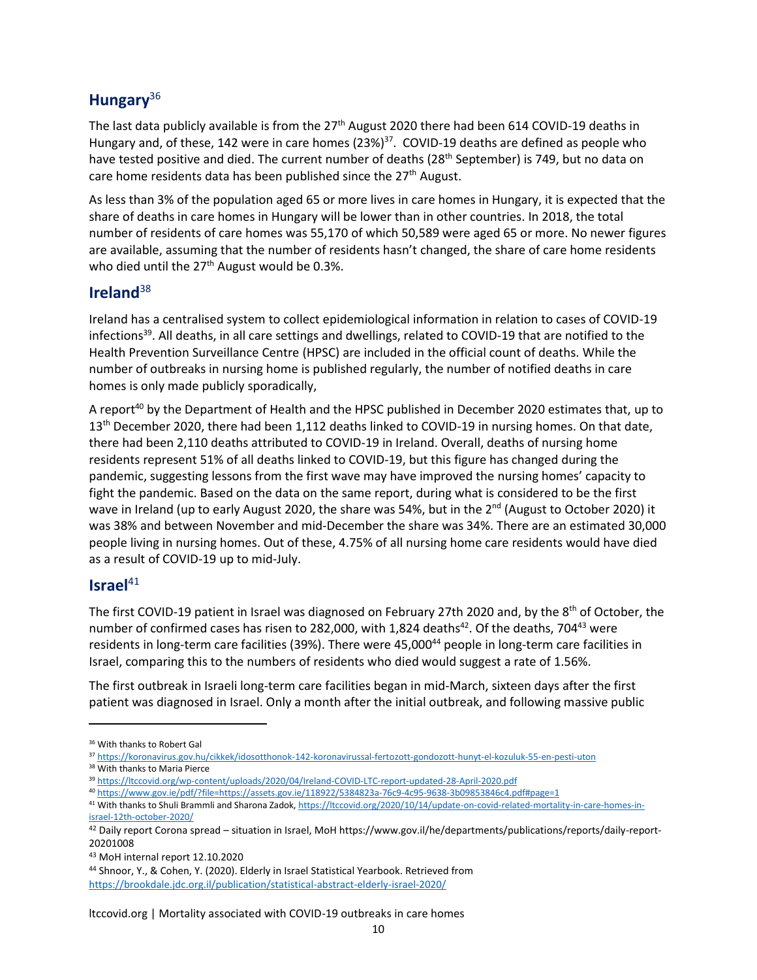### **Hungary**<sup>36</sup>

The last data publicly available is from the 27<sup>th</sup> August 2020 there had been 614 COVID-19 deaths in Hungary and, of these, 142 were in care homes (23%)<sup>37</sup>. COVID-19 deaths are defined as people who have tested positive and died. The current number of deaths (28<sup>th</sup> September) is 749, but no data on care home residents data has been published since the 27<sup>th</sup> August.

As less than 3% of the population aged 65 or more lives in care homes in Hungary, it is expected that the share of deaths in care homes in Hungary will be lower than in other countries. In 2018, the total number of residents of care homes was 55,170 of which 50,589 were aged 65 or more. No newer figures are available, assuming that the number of residents hasn't changed, the share of care home residents who died until the  $27<sup>th</sup>$  August would be 0.3%.

### **Ireland**<sup>38</sup>

Ireland has a centralised system to collect epidemiological information in relation to cases of COVID-19 infections<sup>39</sup>. All deaths, in all care settings and dwellings, related to COVID-19 that are notified to the Health Prevention Surveillance Centre (HPSC) are included in the official count of deaths. While the number of outbreaks in nursing home is published regularly, the number of notified deaths in care homes is only made publicly sporadically,

A report<sup>40</sup> by the Department of Health and the HPSC published in December 2020 estimates that, up to 13<sup>th</sup> December 2020, there had been 1,112 deaths linked to COVID-19 in nursing homes. On that date, there had been 2,110 deaths attributed to COVID-19 in Ireland. Overall, deaths of nursing home residents represent 51% of all deaths linked to COVID-19, but this figure has changed during the pandemic, suggesting lessons from the first wave may have improved the nursing homes' capacity to fight the pandemic. Based on the data on the same report, during what is considered to be the first wave in Ireland (up to early August 2020, the share was 54%, but in the 2<sup>nd</sup> (August to October 2020) it was 38% and between November and mid-December the share was 34%. There are an estimated 30,000 people living in nursing homes. Out of these, 4.75% of all nursing home care residents would have died as a result of COVID-19 up to mid-July.

### **Israel**<sup>41</sup>

The first COVID-19 patient in Israel was diagnosed on February 27th 2020 and, by the 8<sup>th</sup> of October, the number of confirmed cases has risen to 282,000, with 1,824 deaths<sup>42</sup>. Of the deaths, 704<sup>43</sup> were residents in long-term care facilities (39%). There were 45,000<sup>44</sup> people in long-term care facilities in Israel, comparing this to the numbers of residents who died would suggest a rate of 1.56%.

The first outbreak in Israeli long-term care facilities began in mid-March, sixteen days after the first patient was diagnosed in Israel. Only a month after the initial outbreak, and following massive public

<sup>40</sup> <https://www.gov.ie/pdf/?file=https://assets.gov.ie/118922/5384823a-76c9-4c95-9638-3b09853846c4.pdf#page=1>

<sup>36</sup> With thanks to Robert Gal

<sup>37</sup> <https://koronavirus.gov.hu/cikkek/idosotthonok-142-koronavirussal-fertozott-gondozott-hunyt-el-kozuluk-55-en-pesti-uton> <sup>38</sup> With thanks to Maria Pierce

<sup>39</sup> <https://ltccovid.org/wp-content/uploads/2020/04/Ireland-COVID-LTC-report-updated-28-April-2020.pdf>

<sup>41</sup> With thanks to Shuli Brammli and Sharona Zadok[, https://ltccovid.org/2020/10/14/update-on-covid-related-mortality-in-care-homes-in-](https://ltccovid.org/2020/10/14/update-on-covid-related-mortality-in-care-homes-in-israel-12th-october-2020/)

[israel-12th-october-2020/](https://ltccovid.org/2020/10/14/update-on-covid-related-mortality-in-care-homes-in-israel-12th-october-2020/)

<sup>42</sup> Daily report Corona spread – situation in Israel, MoH https://www.gov.il/he/departments/publications/reports/daily-report-20201008

<sup>43</sup> MoH internal report 12.10.2020

<sup>44</sup> Shnoor, Y., & Cohen, Y. (2020). Elderly in Israel Statistical Yearbook. Retrieved from <https://brookdale.jdc.org.il/publication/statistical-abstract-elderly-israel-2020/>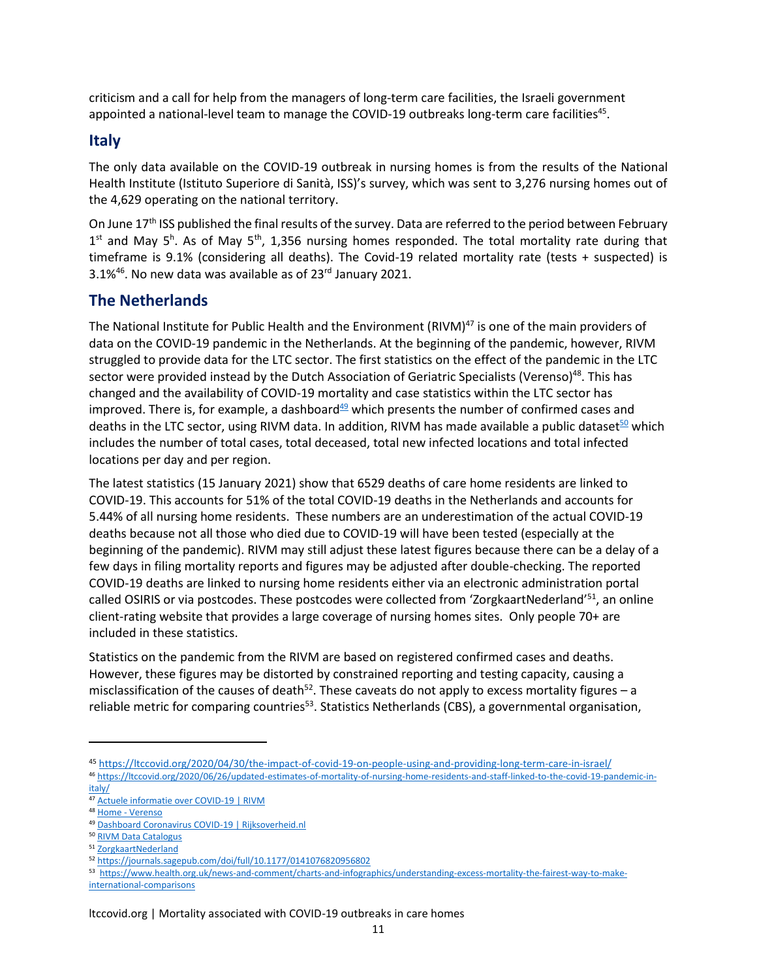criticism and a call for help from the managers of long-term care facilities, the Israeli government appointed a national-level team to manage the COVID-19 outbreaks long-term care facilities<sup>45</sup>.

### **Italy**

The only data available on the COVID-19 outbreak in nursing homes is from the results of the National Health Institute (Istituto Superiore di Sanità, ISS)'s survey, which was sent to 3,276 nursing homes out of the 4,629 operating on the national territory.

On June 17<sup>th</sup> ISS published the final results of the survey. Data are referred to the period between February  $1<sup>st</sup>$  and May 5<sup>h</sup>. As of May 5<sup>th</sup>, 1,356 nursing homes responded. The total mortality rate during that timeframe is 9.1% (considering all deaths). The Covid-19 related mortality rate (tests + suspected) is 3.1%<sup>46</sup>. No new data was available as of 23<sup>rd</sup> January 2021.

### **The Netherlands**

The National Institute for Public Health and the Environment (RIVM)<sup>47</sup> is one of the main providers of data on the COVID-19 pandemic in the Netherlands. At the beginning of the pandemic, however, RIVM struggled to provide data for the LTC sector. The first statistics on the effect of the pandemic in the LTC sector were provided instead by the Dutch Association of Geriatric Specialists (Verenso)<sup>48</sup>. This has changed and the availability of COVID-19 mortality and case statistics within the LTC sector has improved. There is, for example, a dashboard $49$  which presents the number of confirmed cases and deaths in the LTC sector, using RIVM data. In addition, RIVM has made available a public dataset $50$  which includes the number of total cases, total deceased, total new infected locations and total infected locations per day and per region.

The latest statistics (15 January 2021) show that 6529 deaths of care home residents are linked to COVID-19. This accounts for 51% of the total COVID-19 deaths in the Netherlands and accounts for 5.44% of all nursing home residents. These numbers are an underestimation of the actual COVID-19 deaths because not all those who died due to COVID-19 will have been tested (especially at the beginning of the pandemic). RIVM may still adjust these latest figures because there can be a delay of a few days in filing mortality reports and figures may be adjusted after double-checking. The reported COVID-19 deaths are linked to nursing home residents either via an electronic administration portal called OSIRIS or via postcodes. These postcodes were collected from 'ZorgkaartNederland'<sup>51</sup>, an online client-rating website that provides a large coverage of nursing homes sites. Only people 70+ are included in these statistics.

Statistics on the pandemic from the RIVM are based on registered confirmed cases and deaths. However, these figures may be distorted by constrained reporting and testing capacity, causing a misclassification of the causes of death<sup>52</sup>. These caveats do not apply to excess mortality figures  $-$  a reliable metric for comparing countries<sup>53</sup>. Statistics Netherlands (CBS), a governmental organisation,

<sup>45</sup> <https://ltccovid.org/2020/04/30/the-impact-of-covid-19-on-people-using-and-providing-long-term-care-in-israel/> <sup>46</sup> [https://ltccovid.org/2020/06/26/updated-estimates-of-mortality-of-nursing-home-residents-and-staff-linked-to-the-covid-19-pandemic-in-](https://ltccovid.org/2020/06/26/updated-estimates-of-mortality-of-nursing-home-residents-and-staff-linked-to-the-covid-19-pandemic-in-italy/)

[italy/](https://ltccovid.org/2020/06/26/updated-estimates-of-mortality-of-nursing-home-residents-and-staff-linked-to-the-covid-19-pandemic-in-italy/)

<sup>47</sup> [Actuele informatie over COVID-19 | RIVM](https://www.rivm.nl/coronavirus-covid-19/actueel)

<sup>48</sup> Home - [Verenso](https://www.verenso.nl/)

<sup>49</sup> [Dashboard Coronavirus COVID-19 | Rijksoverheid.nl](https://coronadashboard.rijksoverheid.nl/)

<sup>50</sup> [RIVM Data Catalogus](https://data.rivm.nl/geonetwork/srv/dut/catalog.search#/metadata/0179dd26-7bf6-4021-857f-8623aaf8e73a?tab=relations)

<sup>51</sup> [ZorgkaartNederland](https://www.zorgkaartnederland.nl/)

<sup>52</sup> <https://journals.sagepub.com/doi/full/10.1177/0141076820956802>

<sup>53</sup> [https://www.health.org.uk/news-and-comment/charts-and-infographics/understanding-excess-mortality-the-fairest-way-to-make](https://www.health.org.uk/news-and-comment/charts-and-infographics/understanding-excess-mortality-the-fairest-way-to-make-international-comparisons)[international-comparisons](https://www.health.org.uk/news-and-comment/charts-and-infographics/understanding-excess-mortality-the-fairest-way-to-make-international-comparisons)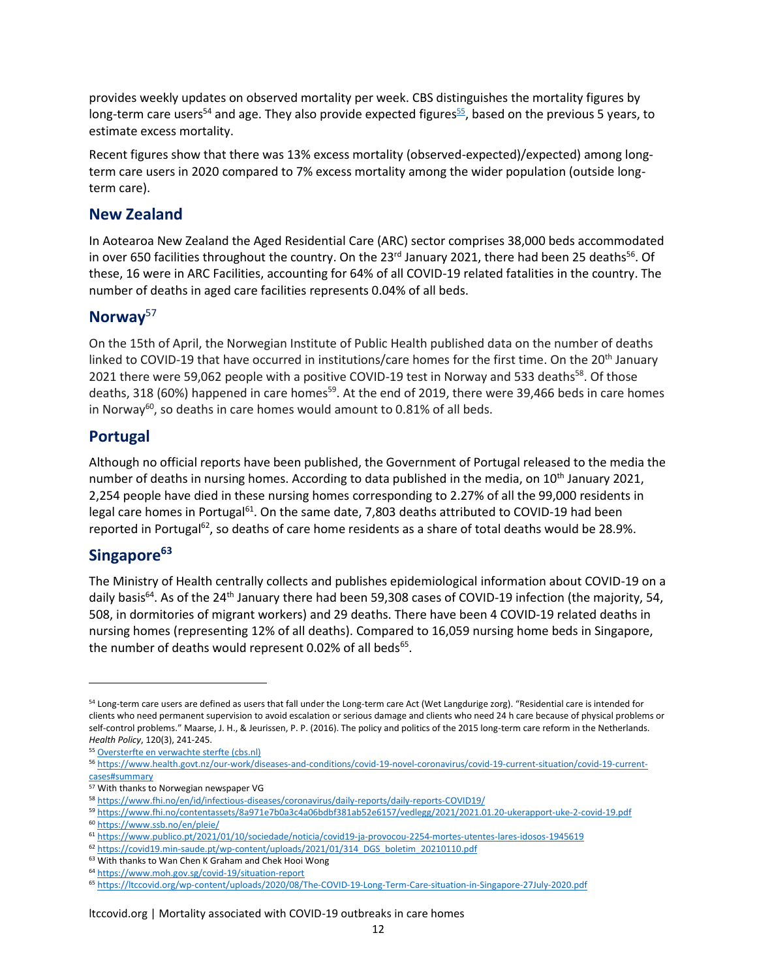provides weekly updates on observed mortality per week. CBS distinguishes the mortality figures by long-term care users<sup>54</sup> and age. They also provide expected figures<sup>55</sup>, based on the previous 5 years, to estimate excess mortality.

Recent figures show that there was 13% excess mortality (observed-expected)/expected) among longterm care users in 2020 compared to 7% excess mortality among the wider population (outside longterm care).

### **New Zealand**

In Aotearoa New Zealand the Aged Residential Care (ARC) sector comprises 38,000 beds accommodated in over 650 facilities throughout the country. On the 23<sup>rd</sup> January 2021, there had been 25 deaths<sup>56</sup>. Of these, 16 were in ARC Facilities, accounting for 64% of all COVID-19 related fatalities in the country. The number of deaths in aged care facilities represents 0.04% of all beds.

### **Norway**<sup>57</sup>

On the 15th of April, the Norwegian Institute of Public Health published data on the number of deaths linked to COVID-19 that have occurred in institutions/care homes for the first time. On the 20<sup>th</sup> January 2021 there were 59,062 people with a positive COVID-19 test in Norway and 533 deaths<sup>58</sup>. Of those deaths, 318 (60%) happened in care homes<sup>59</sup>. At the end of 2019, there were 39,466 beds in care homes in Norway<sup>60</sup>, so deaths in care homes would amount to 0.81% of all beds.

### **Portugal**

Although no official reports have been published, the Government of Portugal released to the media the number of deaths in nursing homes. According to data published in the media, on  $10^{th}$  January 2021, 2,254 people have died in these nursing homes corresponding to 2.27% of all the 99,000 residents in legal care homes in Portugal<sup>61</sup>. On the same date, 7,803 deaths attributed to COVID-19 had been reported in Portugal<sup>62</sup>, so deaths of care home residents as a share of total deaths would be 28.9%.

### **Singapore<sup>63</sup>**

The Ministry of Health centrally collects and publishes epidemiological information about COVID-19 on a daily basis<sup>64</sup>. As of the 24<sup>th</sup> January there had been 59,308 cases of COVID-19 infection (the majority, 54, 508, in dormitories of migrant workers) and 29 deaths. There have been 4 COVID-19 related deaths in nursing homes (representing 12% of all deaths). Compared to 16,059 nursing home beds in Singapore, the number of deaths would represent 0.02% of all beds<sup>65</sup>.

<sup>&</sup>lt;sup>54</sup> Long-term care users are defined as users that fall under the Long-term care Act (Wet Langdurige zorg). "Residential care is intended for clients who need permanent supervision to avoid escalation or serious damage and clients who need 24 h care because of physical problems or self-control problems." Maarse, J. H., & Jeurissen, P. P. (2016). The policy and politics of the 2015 long-term care reform in the Netherlands. *Health Policy*, 120(3), 241-245.

<sup>55</sup> [Oversterfte en verwachte sterfte \(cbs.nl\)](https://www.cbs.nl/nl-nl/nieuws/2021/02/bijna-4-duizend-mensen-overleden-in-eerste-week-van-2021/oversterfte-en-verwachte-sterfte)

<sup>56</sup> [https://www.health.govt.nz/our-work/diseases-and-conditions/covid-19-novel-coronavirus/covid-19-current-situation/covid-19-current](https://www.health.govt.nz/our-work/diseases-and-conditions/covid-19-novel-coronavirus/covid-19-current-situation/covid-19-current-cases#summary)[cases#summary](https://www.health.govt.nz/our-work/diseases-and-conditions/covid-19-novel-coronavirus/covid-19-current-situation/covid-19-current-cases#summary)

<sup>57</sup> With thanks to Norwegian newspaper VG

<sup>58</sup> <https://www.fhi.no/en/id/infectious-diseases/coronavirus/daily-reports/daily-reports-COVID19/>

<sup>59</sup> <https://www.fhi.no/contentassets/8a971e7b0a3c4a06bdbf381ab52e6157/vedlegg/2021/2021.01.20-ukerapport-uke-2-covid-19.pdf> <sup>60</sup> <https://www.ssb.no/en/pleie/>

<sup>61</sup> <https://www.publico.pt/2021/01/10/sociedade/noticia/covid19-ja-provocou-2254-mortes-utentes-lares-idosos-1945619>

<sup>62</sup> [https://covid19.min-saude.pt/wp-content/uploads/2021/01/314\\_DGS\\_boletim\\_20210110.pdf](https://covid19.min-saude.pt/wp-content/uploads/2021/01/314_DGS_boletim_20210110.pdf)

<sup>63</sup> With thanks to Wan Chen K Graham and Chek Hooi Wong

<sup>64</sup> <https://www.moh.gov.sg/covid-19/situation-report>

<sup>65</sup> <https://ltccovid.org/wp-content/uploads/2020/08/The-COVID-19-Long-Term-Care-situation-in-Singapore-27July-2020.pdf>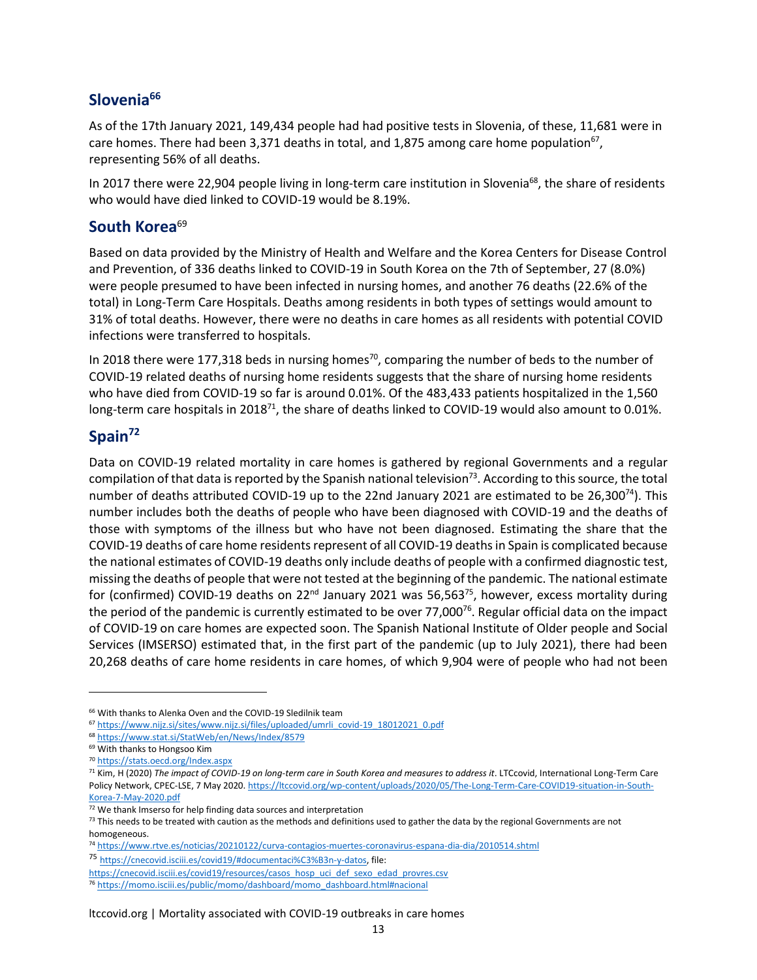### **Slovenia<sup>66</sup>**

As of the 17th January 2021, 149,434 people had had positive tests in Slovenia, of these, 11,681 were in care homes. There had been 3,371 deaths in total, and 1,875 among care home population<sup>67</sup>, representing 56% of all deaths.

In 2017 there were 22,904 people living in long-term care institution in Slovenia<sup>68</sup>, the share of residents who would have died linked to COVID-19 would be 8.19%.

### South Korea<sup>69</sup>

Based on data provided by the Ministry of Health and Welfare and the Korea Centers for Disease Control and Prevention, of 336 deaths linked to COVID-19 in South Korea on the 7th of September, 27 (8.0%) were people presumed to have been infected in nursing homes, and another 76 deaths (22.6% of the total) in Long-Term Care Hospitals. Deaths among residents in both types of settings would amount to 31% of total deaths. However, there were no deaths in care homes as all residents with potential COVID infections were transferred to hospitals.

In 2018 there were 177,318 beds in nursing homes<sup>70</sup>, comparing the number of beds to the number of COVID-19 related deaths of nursing home residents suggests that the share of nursing home residents who have died from COVID-19 so far is around 0.01%. Of the 483,433 patients hospitalized in the 1,560 long-term care hospitals in 2018<sup>71</sup>, the share of deaths linked to COVID-19 would also amount to 0.01%.

### **Spain<sup>72</sup>**

Data on COVID-19 related mortality in care homes is gathered by regional Governments and a regular compilation of that data is reported by the Spanish national television<sup>73</sup>. According to this source, the total number of deaths attributed COVID-19 up to the 22nd January 2021 are estimated to be 26,300<sup>74</sup>). This number includes both the deaths of people who have been diagnosed with COVID-19 and the deaths of those with symptoms of the illness but who have not been diagnosed. Estimating the share that the COVID-19 deaths of care home residents represent of all COVID-19 deaths in Spain is complicated because the national estimates of COVID-19 deaths only include deaths of people with a confirmed diagnostic test, missing the deaths of people that were not tested at the beginning of the pandemic. The national estimate for (confirmed) COVID-19 deaths on 22<sup>nd</sup> January 2021 was 56,563<sup>75</sup>, however, excess mortality during the period of the pandemic is currently estimated to be over 77,000<sup>76</sup>. Regular official data on the impact of COVID-19 on care homes are expected soon. The Spanish National Institute of Older people and Social Services (IMSERSO) estimated that, in the first part of the pandemic (up to July 2021), there had been 20,268 deaths of care home residents in care homes, of which 9,904 were of people who had not been

<sup>&</sup>lt;sup>66</sup> With thanks to Alenka Oven and the COVID-19 Sledilnik team

<sup>67</sup> [https://www.nijz.si/sites/www.nijz.si/files/uploaded/umrli\\_covid-19\\_18012021\\_0.pdf](https://www.nijz.si/sites/www.nijz.si/files/uploaded/umrli_covid-19_18012021_0.pdf)

<sup>68</sup> <https://www.stat.si/StatWeb/en/News/Index/8579>

<sup>69</sup> With thanks to Hongsoo Kim

<sup>70</sup> <https://stats.oecd.org/Index.aspx>

<sup>71</sup> Kim, H (2020) *The impact of COVID-19 on long-term care in South Korea and measures to address it*. LTCcovid, International Long-Term Care Policy Network, CPEC-LSE, 7 May 2020[. https://ltccovid.org/wp-content/uploads/2020/05/The-Long-Term-Care-COVID19-situation-in-South-](https://ltccovid.org/wp-content/uploads/2020/05/The-Long-Term-Care-COVID19-situation-in-South-Korea-7-May-2020.pdf)[Korea-7-May-2020.pdf](https://ltccovid.org/wp-content/uploads/2020/05/The-Long-Term-Care-COVID19-situation-in-South-Korea-7-May-2020.pdf)

<sup>72</sup> We thank Imserso for help finding data sources and interpretation

 $73$  This needs to be treated with caution as the methods and definitions used to gather the data by the regional Governments are not homogeneous.

<sup>74</sup> <https://www.rtve.es/noticias/20210122/curva-contagios-muertes-coronavirus-espana-dia-dia/2010514.shtml>

<sup>75</sup> [https://cnecovid.isciii.es/covid19/#documentaci%C3%B3n-y-datos,](https://cnecovid.isciii.es/covid19/#documentaci%C3%B3n-y-datos) file:

[https://cnecovid.isciii.es/covid19/resources/casos\\_hosp\\_uci\\_def\\_sexo\\_edad\\_provres.csv](https://cnecovid.isciii.es/covid19/resources/casos_hosp_uci_def_sexo_edad_provres.csv)

<sup>76</sup> [https://momo.isciii.es/public/momo/dashboard/momo\\_dashboard.html#nacional](https://momo.isciii.es/public/momo/dashboard/momo_dashboard.html#nacional)

ltccovid.org | Mortality associated with COVID-19 outbreaks in care homes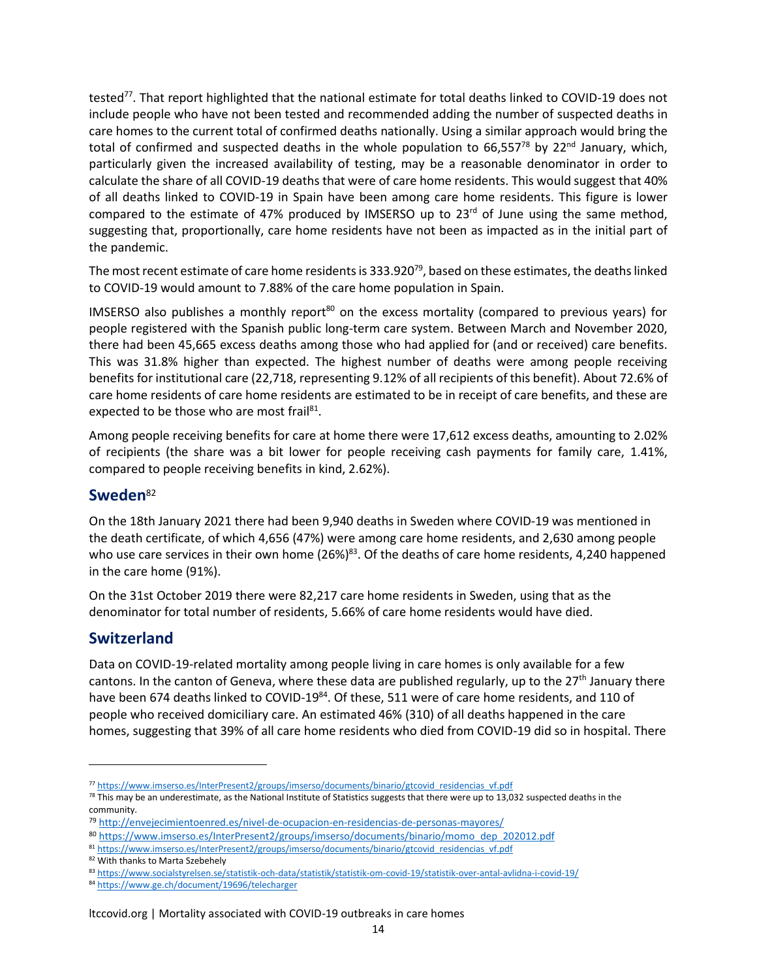tested<sup>77</sup>. That report highlighted that the national estimate for total deaths linked to COVID-19 does not include people who have not been tested and recommended adding the number of suspected deaths in care homes to the current total of confirmed deaths nationally. Using a similar approach would bring the total of confirmed and suspected deaths in the whole population to 66,557<sup>78</sup> by 22<sup>nd</sup> January, which, particularly given the increased availability of testing, may be a reasonable denominator in order to calculate the share of all COVID-19 deaths that were of care home residents. This would suggest that 40% of all deaths linked to COVID-19 in Spain have been among care home residents. This figure is lower compared to the estimate of 47% produced by IMSERSO up to  $23<sup>rd</sup>$  of June using the same method, suggesting that, proportionally, care home residents have not been as impacted as in the initial part of the pandemic.

The most recent estimate of care home residents is 333.920 $79$ , based on these estimates, the deaths linked to COVID-19 would amount to 7.88% of the care home population in Spain.

IMSERSO also publishes a monthly report<sup>80</sup> on the excess mortality (compared to previous years) for people registered with the Spanish public long-term care system. Between March and November 2020, there had been 45,665 excess deaths among those who had applied for (and or received) care benefits. This was 31.8% higher than expected. The highest number of deaths were among people receiving benefits for institutional care (22,718, representing 9.12% of all recipients of this benefit). About 72.6% of care home residents of care home residents are estimated to be in receipt of care benefits, and these are expected to be those who are most frail<sup>81</sup>.

Among people receiving benefits for care at home there were 17,612 excess deaths, amounting to 2.02% of recipients (the share was a bit lower for people receiving cash payments for family care, 1.41%, compared to people receiving benefits in kind, 2.62%).

### **Sweden**<sup>82</sup>

On the 18th January 2021 there had been 9,940 deaths in Sweden where COVID-19 was mentioned in the death certificate, of which 4,656 (47%) were among care home residents, and 2,630 among people who use care services in their own home (26%)<sup>83</sup>. Of the deaths of care home residents, 4,240 happened in the care home (91%).

On the 31st October 2019 there were 82,217 care home residents in Sweden, using that as the denominator for total number of residents, 5.66% of care home residents would have died.

### **Switzerland**

Data on COVID-19-related mortality among people living in care homes is only available for a few cantons. In the canton of Geneva, where these data are published regularly, up to the  $27<sup>th</sup>$  January there have been 674 deaths linked to COVID-19<sup>84</sup>. Of these, 511 were of care home residents, and 110 of people who received domiciliary care. An estimated 46% (310) of all deaths happened in the care homes, suggesting that 39% of all care home residents who died from COVID-19 did so in hospital. There

<sup>77</sup> [https://www.imserso.es/InterPresent2/groups/imserso/documents/binario/gtcovid\\_residencias\\_vf.pdf](https://www.imserso.es/InterPresent2/groups/imserso/documents/binario/gtcovid_residencias_vf.pdf)

 $78$  This may be an underestimate, as the National Institute of Statistics suggests that there were up to 13,032 suspected deaths in the community.

<sup>79</sup> <http://envejecimientoenred.es/nivel-de-ocupacion-en-residencias-de-personas-mayores/>

<sup>80</sup> [https://www.imserso.es/InterPresent2/groups/imserso/documents/binario/momo\\_dep\\_202012.pdf](https://www.imserso.es/InterPresent2/groups/imserso/documents/binario/momo_dep_202012.pdf)

<sup>81</sup> [https://www.imserso.es/InterPresent2/groups/imserso/documents/binario/gtcovid\\_residencias\\_vf.pdf](https://www.imserso.es/InterPresent2/groups/imserso/documents/binario/gtcovid_residencias_vf.pdf)

<sup>82</sup> With thanks to Marta Szebehely

<sup>83</sup> <https://www.socialstyrelsen.se/statistik-och-data/statistik/statistik-om-covid-19/statistik-over-antal-avlidna-i-covid-19/>

<sup>84</sup> <https://www.ge.ch/document/19696/telecharger>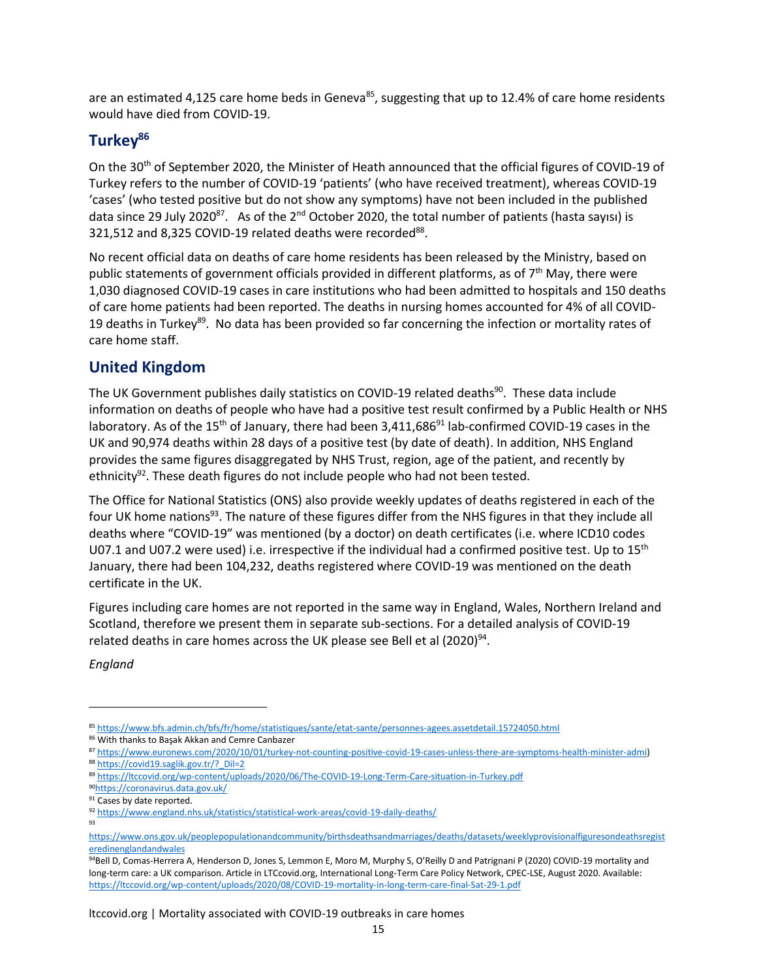are an estimated 4,125 care home beds in Geneva<sup>85</sup>, suggesting that up to 12.4% of care home residents would have died from COVID-19.

### **Turkey<sup>86</sup>**

On the 30th of September 2020, the Minister of Heath announced that the official figures of COVID-19 of Turkey refers to the number of COVID-19 'patients' (who have received treatment), whereas COVID-19 'cases' (who tested positive but do not show any symptoms) have not been included in the published data since 29 July 2020<sup>87</sup>. As of the 2<sup>nd</sup> October 2020, the total number of patients (hasta sayısı) is 321,512 and 8,325 COVID-19 related deaths were recorded<sup>88</sup>.

No recent official data on deaths of care home residents has been released by the Ministry, based on public statements of government officials provided in different platforms, as of  $7<sup>th</sup>$  May, there were 1,030 diagnosed COVID-19 cases in care institutions who had been admitted to hospitals and 150 deaths of care home patients had been reported. The deaths in nursing homes accounted for 4% of all COVID-19 deaths in Turkey<sup>89</sup>. No data has been provided so far concerning the infection or mortality rates of care home staff.

### **United Kingdom**

The UK Government publishes daily statistics on COVID-19 related deaths<sup>90</sup>. These data include information on deaths of people who have had a positive test result confirmed by a Public Health or NHS laboratory. As of the 15<sup>th</sup> of January, there had been 3,411,686<sup>91</sup> lab-confirmed COVID-19 cases in the UK and 90,974 deaths within 28 days of a positive test (by date of death). In addition, NHS England provides the same figures disaggregated by NHS Trust, region, age of the patient, and recently by ethnicity<sup>92</sup>. These death figures do not include people who had not been tested.

The Office for National Statistics (ONS) also provide weekly updates of deaths registered in each of the four UK home nations<sup>93</sup>. The nature of these figures differ from the NHS figures in that they include all deaths where "COVID-19" was mentioned (by a doctor) on death certificates (i.e. where ICD10 codes U07.1 and U07.2 were used) i.e. irrespective if the individual had a confirmed positive test. Up to  $15<sup>th</sup>$ January, there had been 104,232, deaths registered where COVID-19 was mentioned on the death certificate in the UK.

Figures including care homes are not reported in the same way in England, Wales, Northern Ireland and Scotland, therefore we present them in separate sub-sections. For a detailed analysis of COVID-19 related deaths in care homes across the UK please see Bell et al (2020)<sup>94</sup>.

*England*

<sup>85</sup> <https://www.bfs.admin.ch/bfs/fr/home/statistiques/sante/etat-sante/personnes-agees.assetdetail.15724050.html>

<sup>86</sup> With thanks to Başak Akkan and Cemre Canbazer

<sup>87</sup> [https://www.euronews.com/2020/10/01/turkey-not-counting-positive-covid-19-cases-unless-there-are-symptoms-health-minister-admi\)](https://www.euronews.com/2020/10/01/turkey-not-counting-positive-covid-19-cases-unless-there-are-symptoms-health-minister-admi) 88 https://covid19.saglik.gov.tr/? Dil=2

<sup>89</sup> <https://ltccovid.org/wp-content/uploads/2020/06/The-COVID-19-Long-Term-Care-situation-in-Turkey.pdf>

<sup>90</sup><https://coronavirus.data.gov.uk/>

<sup>91</sup> Cases by date reported.

<sup>92</sup> <https://www.england.nhs.uk/statistics/statistical-work-areas/covid-19-daily-deaths/>

<sup>93</sup>

[https://www.ons.gov.uk/peoplepopulationandcommunity/birthsdeathsandmarriages/deaths/datasets/weeklyprovisionalfiguresondeathsregist](https://www.ons.gov.uk/peoplepopulationandcommunity/birthsdeathsandmarriages/deaths/datasets/weeklyprovisionalfiguresondeathsregisteredinenglandandwales) [eredinenglandandwales](https://www.ons.gov.uk/peoplepopulationandcommunity/birthsdeathsandmarriages/deaths/datasets/weeklyprovisionalfiguresondeathsregisteredinenglandandwales)

<sup>94</sup>Bell D, Comas-Herrera A, Henderson D, Jones S, Lemmon E, Moro M, Murphy S, O'Reilly D and Patrignani P (2020) COVID-19 mortality and long-term care: a UK comparison. Article in LTCcovid.org, International Long-Term Care Policy Network, CPEC-LSE, August 2020. Available: <https://ltccovid.org/wp-content/uploads/2020/08/COVID-19-mortality-in-long-term-care-final-Sat-29-1.pdf>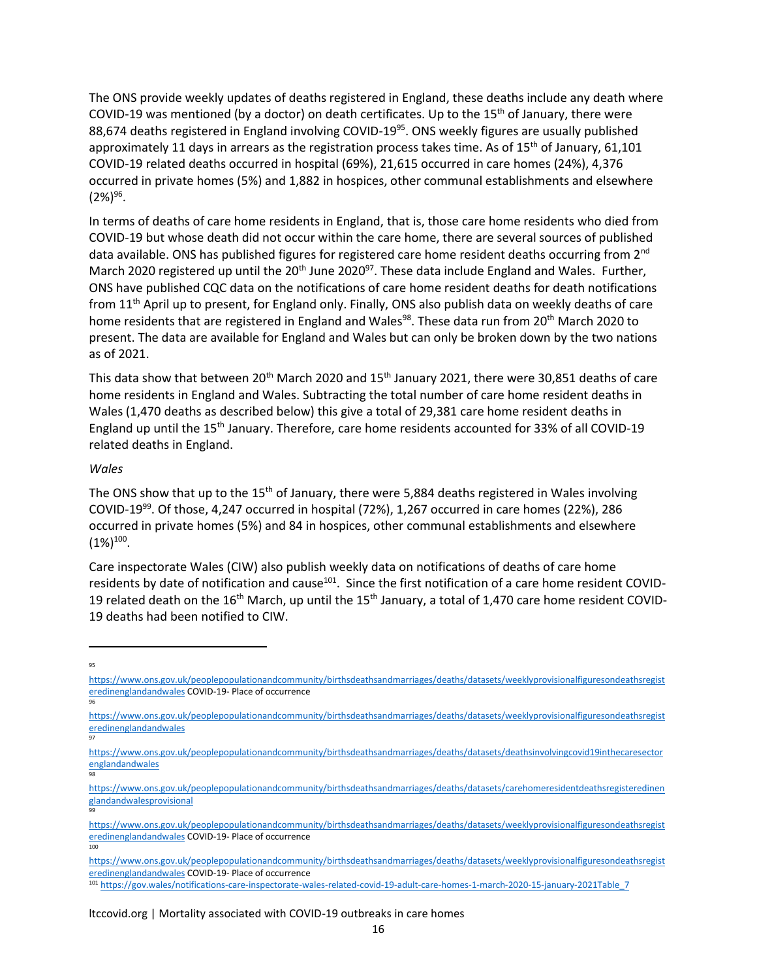The ONS provide weekly updates of deaths registered in England, these deaths include any death where COVID-19 was mentioned (by a doctor) on death certificates. Up to the 15<sup>th</sup> of January, there were 88,674 deaths registered in England involving COVID-19<sup>95</sup>. ONS weekly figures are usually published approximately 11 days in arrears as the registration process takes time. As of  $15<sup>th</sup>$  of January, 61,101 COVID-19 related deaths occurred in hospital (69%), 21,615 occurred in care homes (24%), 4,376 occurred in private homes (5%) and 1,882 in hospices, other communal establishments and elsewhere  $(2\%)^{96}.$ 

In terms of deaths of care home residents in England, that is, those care home residents who died from COVID-19 but whose death did not occur within the care home, there are several sources of published data available. ONS has published figures for registered care home resident deaths occurring from 2nd March 2020 registered up until the 20<sup>th</sup> June 2020<sup>97</sup>. These data include England and Wales. Further, ONS have published CQC data on the notifications of care home resident deaths for death notifications from 11<sup>th</sup> April up to present, for England only. Finally, ONS also publish data on weekly deaths of care home residents that are registered in England and Wales<sup>98</sup>. These data run from 20<sup>th</sup> March 2020 to present. The data are available for England and Wales but can only be broken down by the two nations as of 2021.

This data show that between 20<sup>th</sup> March 2020 and 15<sup>th</sup> January 2021, there were 30,851 deaths of care home residents in England and Wales. Subtracting the total number of care home resident deaths in Wales (1,470 deaths as described below) this give a total of 29,381 care home resident deaths in England up until the 15<sup>th</sup> January. Therefore, care home residents accounted for 33% of all COVID-19 related deaths in England.

#### *Wales*

The ONS show that up to the  $15<sup>th</sup>$  of January, there were 5,884 deaths registered in Wales involving COVID-19<sup>99</sup>. Of those, 4,247 occurred in hospital (72%), 1,267 occurred in care homes (22%), 286 occurred in private homes (5%) and 84 in hospices, other communal establishments and elsewhere  $(1\%)^{100}$ .

Care inspectorate Wales (CIW) also publish weekly data on notifications of deaths of care home residents by date of notification and cause<sup>101</sup>. Since the first notification of a care home resident COVID-19 related death on the 16<sup>th</sup> March, up until the 15<sup>th</sup> January, a total of 1,470 care home resident COVID-19 deaths had been notified to CIW.

97

98

99

100

 $95$ 

[https://www.ons.gov.uk/peoplepopulationandcommunity/birthsdeathsandmarriages/deaths/datasets/weeklyprovisionalfiguresondeathsregist](https://www.ons.gov.uk/peoplepopulationandcommunity/birthsdeathsandmarriages/deaths/datasets/weeklyprovisionalfiguresondeathsregisteredinenglandandwales) [eredinenglandandwales](https://www.ons.gov.uk/peoplepopulationandcommunity/birthsdeathsandmarriages/deaths/datasets/weeklyprovisionalfiguresondeathsregisteredinenglandandwales) COVID-19- Place of occurrence 96

[https://www.ons.gov.uk/peoplepopulationandcommunity/birthsdeathsandmarriages/deaths/datasets/weeklyprovisionalfiguresondeathsregist](https://www.ons.gov.uk/peoplepopulationandcommunity/birthsdeathsandmarriages/deaths/datasets/weeklyprovisionalfiguresondeathsregisteredinenglandandwales) [eredinenglandandwales](https://www.ons.gov.uk/peoplepopulationandcommunity/birthsdeathsandmarriages/deaths/datasets/weeklyprovisionalfiguresondeathsregisteredinenglandandwales)

[https://www.ons.gov.uk/peoplepopulationandcommunity/birthsdeathsandmarriages/deaths/datasets/deathsinvolvingcovid19inthecaresector](https://www.ons.gov.uk/peoplepopulationandcommunity/birthsdeathsandmarriages/deaths/datasets/deathsinvolvingcovid19inthecaresectorenglandandwales) [englandandwales](https://www.ons.gov.uk/peoplepopulationandcommunity/birthsdeathsandmarriages/deaths/datasets/deathsinvolvingcovid19inthecaresectorenglandandwales)

[https://www.ons.gov.uk/peoplepopulationandcommunity/birthsdeathsandmarriages/deaths/datasets/carehomeresidentdeathsregisteredinen](https://www.ons.gov.uk/peoplepopulationandcommunity/birthsdeathsandmarriages/deaths/datasets/carehomeresidentdeathsregisteredinenglandandwalesprovisional) [glandandwalesprovisional](https://www.ons.gov.uk/peoplepopulationandcommunity/birthsdeathsandmarriages/deaths/datasets/carehomeresidentdeathsregisteredinenglandandwalesprovisional)

[https://www.ons.gov.uk/peoplepopulationandcommunity/birthsdeathsandmarriages/deaths/datasets/weeklyprovisionalfiguresondeathsregist](https://www.ons.gov.uk/peoplepopulationandcommunity/birthsdeathsandmarriages/deaths/datasets/weeklyprovisionalfiguresondeathsregisteredinenglandandwales) [eredinenglandandwales](https://www.ons.gov.uk/peoplepopulationandcommunity/birthsdeathsandmarriages/deaths/datasets/weeklyprovisionalfiguresondeathsregisteredinenglandandwales) COVID-19- Place of occurrence

[https://www.ons.gov.uk/peoplepopulationandcommunity/birthsdeathsandmarriages/deaths/datasets/weeklyprovisionalfiguresondeathsregist](https://www.ons.gov.uk/peoplepopulationandcommunity/birthsdeathsandmarriages/deaths/datasets/weeklyprovisionalfiguresondeathsregisteredinenglandandwales) [eredinenglandandwales](https://www.ons.gov.uk/peoplepopulationandcommunity/birthsdeathsandmarriages/deaths/datasets/weeklyprovisionalfiguresondeathsregisteredinenglandandwales) COVID-19- Place of occurrence

<sup>101</sup> [https://gov.wales/notifications-care-inspectorate-wales-related-covid-19-adult-care-homes-1-march-2020-15-january-2021Table\\_7](https://gov.wales/notifications-care-inspectorate-wales-related-covid-19-adult-care-homes-1-march-2020-15-january-2021Table_7)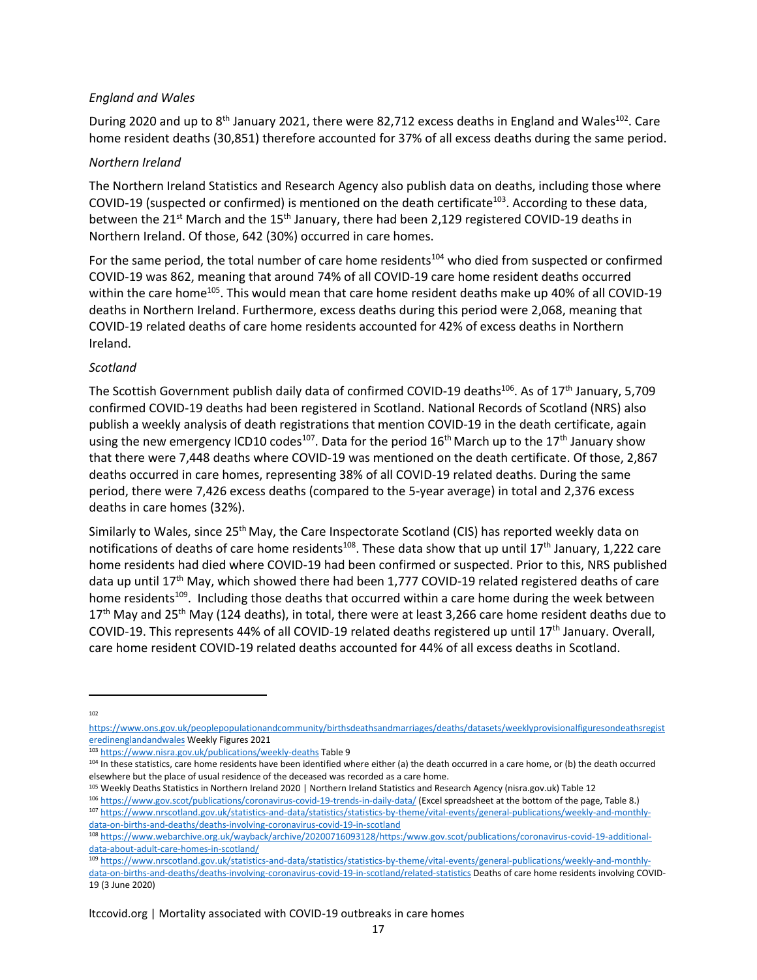#### *England and Wales*

During 2020 and up to  $8<sup>th</sup>$  January 2021, there were 82,712 excess deaths in England and Wales<sup>102</sup>. Care home resident deaths (30,851) therefore accounted for 37% of all excess deaths during the same period.

#### *Northern Ireland*

The Northern Ireland Statistics and Research Agency also publish data on deaths, including those where COVID-19 (suspected or confirmed) is mentioned on the death certificate<sup>103</sup>. According to these data, between the 21<sup>st</sup> March and the 15<sup>th</sup> January, there had been 2,129 registered COVID-19 deaths in Northern Ireland. Of those, 642 (30%) occurred in care homes.

For the same period, the total number of care home residents<sup>104</sup> who died from suspected or confirmed COVID-19 was 862, meaning that around 74% of all COVID-19 care home resident deaths occurred within the care home<sup>105</sup>. This would mean that care home resident deaths make up 40% of all COVID-19 deaths in Northern Ireland. Furthermore, excess deaths during this period were 2,068, meaning that COVID-19 related deaths of care home residents accounted for 42% of excess deaths in Northern Ireland.

#### *Scotland*

The Scottish Government publish daily data of confirmed COVID-19 deaths<sup>106</sup>. As of 17<sup>th</sup> January, 5,709 confirmed COVID-19 deaths had been registered in Scotland. National Records of Scotland (NRS) also publish a weekly analysis of death registrations that mention COVID-19 in the death certificate, again using the new emergency ICD10 codes<sup>107</sup>. Data for the period 16<sup>th</sup> March up to the 17<sup>th</sup> January show that there were 7,448 deaths where COVID-19 was mentioned on the death certificate. Of those, 2,867 deaths occurred in care homes, representing 38% of all COVID-19 related deaths. During the same period, there were 7,426 excess deaths (compared to the 5-year average) in total and 2,376 excess deaths in care homes (32%).

Similarly to Wales, since 25<sup>th</sup> May, the Care Inspectorate Scotland (CIS) has reported weekly data on notifications of deaths of care home residents<sup>108</sup>. These data show that up until 17<sup>th</sup> January, 1,222 care home residents had died where COVID-19 had been confirmed or suspected. Prior to this, NRS published data up until 17th May, which showed there had been 1,777 COVID-19 related registered deaths of care home residents<sup>109</sup>. Including those deaths that occurred within a care home during the week between  $17<sup>th</sup>$  May and 25<sup>th</sup> May (124 deaths), in total, there were at least 3,266 care home resident deaths due to COVID-19. This represents 44% of all COVID-19 related deaths registered up until 17th January. Overall, care home resident COVID-19 related deaths accounted for 44% of all excess deaths in Scotland.

 $102$ 

[https://www.ons.gov.uk/peoplepopulationandcommunity/birthsdeathsandmarriages/deaths/datasets/weeklyprovisionalfiguresondeathsregist](https://www.ons.gov.uk/peoplepopulationandcommunity/birthsdeathsandmarriages/deaths/datasets/weeklyprovisionalfiguresondeathsregisteredinenglandandwales) [eredinenglandandwales](https://www.ons.gov.uk/peoplepopulationandcommunity/birthsdeathsandmarriages/deaths/datasets/weeklyprovisionalfiguresondeathsregisteredinenglandandwales) Weekly Figures 2021

<sup>103</sup> <https://www.nisra.gov.uk/publications/weekly-deaths> Table 9

<sup>104</sup> In these statistics, care home residents have been identified where either (a) the death occurred in a care home, or (b) the death occurred elsewhere but the place of usual residence of the deceased was recorded as a care home.

<sup>105</sup> Weekly Deaths Statistics in Northern Ireland 2020 | Northern Ireland Statistics and Research Agency (nisra.gov.uk) Table 12

<sup>106</sup> <https://www.gov.scot/publications/coronavirus-covid-19-trends-in-daily-data/> (Excel spreadsheet at the bottom of the page, Table 8.) 107 [https://www.nrscotland.gov.uk/statistics-and-data/statistics/statistics-by-theme/vital-events/general-publications/weekly-and-monthly-](https://www.nrscotland.gov.uk/statistics-and-data/statistics/statistics-by-theme/vital-events/general-publications/weekly-and-monthly-data-on-births-and-deaths/deaths-involving-coronavirus-covid-19-in-scotland)

[data-on-births-and-deaths/deaths-involving-coronavirus-covid-19-in-scotland](https://www.nrscotland.gov.uk/statistics-and-data/statistics/statistics-by-theme/vital-events/general-publications/weekly-and-monthly-data-on-births-and-deaths/deaths-involving-coronavirus-covid-19-in-scotland)

<sup>108</sup> [https://www.webarchive.org.uk/wayback/archive/20200716093128/https:/www.gov.scot/publications/coronavirus-covid-19-additional](https://www.webarchive.org.uk/wayback/archive/20200716093128/https:/www.gov.scot/publications/coronavirus-covid-19-additional-data-about-adult-care-homes-in-scotland/)[data-about-adult-care-homes-in-scotland/](https://www.webarchive.org.uk/wayback/archive/20200716093128/https:/www.gov.scot/publications/coronavirus-covid-19-additional-data-about-adult-care-homes-in-scotland/)

<sup>109</sup> [https://www.nrscotland.gov.uk/statistics-and-data/statistics/statistics-by-theme/vital-events/general-publications/weekly-and-monthly](https://www.nrscotland.gov.uk/statistics-and-data/statistics/statistics-by-theme/vital-events/general-publications/weekly-and-monthly-data-on-births-and-deaths/deaths-involving-coronavirus-covid-19-in-scotland/related-statistics)[data-on-births-and-deaths/deaths-involving-coronavirus-covid-19-in-scotland/related-statistics](https://www.nrscotland.gov.uk/statistics-and-data/statistics/statistics-by-theme/vital-events/general-publications/weekly-and-monthly-data-on-births-and-deaths/deaths-involving-coronavirus-covid-19-in-scotland/related-statistics) Deaths of care home residents involving COVID-19 (3 June 2020)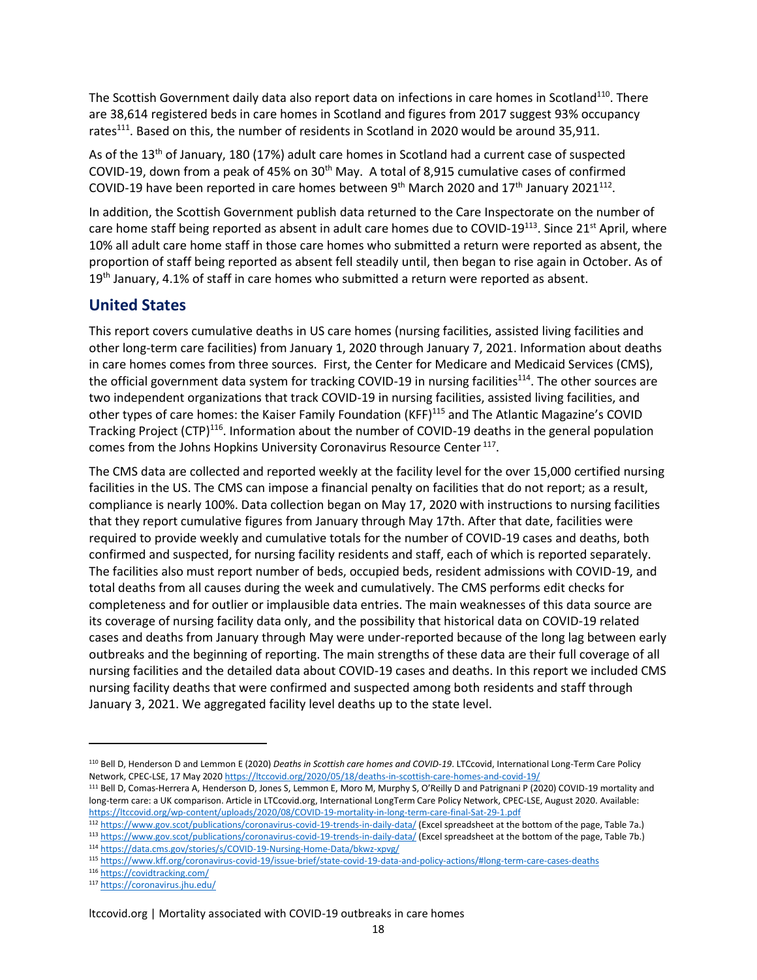The Scottish Government daily data also report data on infections in care homes in Scotland<sup>110</sup>. There are 38,614 registered beds in care homes in Scotland and figures from 2017 suggest 93% occupancy rates<sup>111</sup>. Based on this, the number of residents in Scotland in 2020 would be around 35,911.

As of the 13th of January, 180 (17%) adult care homes in Scotland had a current case of suspected COVID-19, down from a peak of 45% on  $30<sup>th</sup>$  May. A total of 8,915 cumulative cases of confirmed COVID-19 have been reported in care homes between 9<sup>th</sup> March 2020 and 17<sup>th</sup> January 2021<sup>112</sup>.

In addition, the Scottish Government publish data returned to the Care Inspectorate on the number of care home staff being reported as absent in adult care homes due to COVID-19 $^{113}$ . Since 21<sup>st</sup> April, where 10% all adult care home staff in those care homes who submitted a return were reported as absent, the proportion of staff being reported as absent fell steadily until, then began to rise again in October. As of  $19<sup>th</sup>$  January, 4.1% of staff in care homes who submitted a return were reported as absent.

### **United States**

This report covers cumulative deaths in US care homes (nursing facilities, assisted living facilities and other long-term care facilities) from January 1, 2020 through January 7, 2021. Information about deaths in care homes comes from three sources. First, the Center for Medicare and Medicaid Services (CMS), the official government data system for tracking COVID-19 in nursing facilities<sup>114</sup>. The other sources are two independent organizations that track COVID-19 in nursing facilities, assisted living facilities, and other types of care homes: the Kaiser Family Foundation (KFF)<sup>115</sup> and The Atlantic Magazine's COVID Tracking Project (CTP)<sup>116</sup>. Information about the number of COVID-19 deaths in the general population comes from the Johns Hopkins University Coronavirus Resource Center<sup>117</sup>.

The CMS data are collected and reported weekly at the facility level for the over 15,000 certified nursing facilities in the US. The CMS can impose a financial penalty on facilities that do not report; as a result, compliance is nearly 100%. Data collection began on May 17, 2020 with instructions to nursing facilities that they report cumulative figures from January through May 17th. After that date, facilities were required to provide weekly and cumulative totals for the number of COVID-19 cases and deaths, both confirmed and suspected, for nursing facility residents and staff, each of which is reported separately. The facilities also must report number of beds, occupied beds, resident admissions with COVID-19, and total deaths from all causes during the week and cumulatively. The CMS performs edit checks for completeness and for outlier or implausible data entries. The main weaknesses of this data source are its coverage of nursing facility data only, and the possibility that historical data on COVID-19 related cases and deaths from January through May were under-reported because of the long lag between early outbreaks and the beginning of reporting. The main strengths of these data are their full coverage of all nursing facilities and the detailed data about COVID-19 cases and deaths. In this report we included CMS nursing facility deaths that were confirmed and suspected among both residents and staff through January 3, 2021. We aggregated facility level deaths up to the state level.

<sup>116</sup> <https://covidtracking.com/>

<sup>110</sup> Bell D, Henderson D and Lemmon E (2020) *Deaths in Scottish care homes and COVID-19*. LTCcovid, International Long-Term Care Policy Network, CPEC-LSE, 17 May 202[0 https://ltccovid.org/2020/05/18/deaths-in-scottish-care-homes-and-covid-19/](https://ltccovid.org/2020/05/18/deaths-in-scottish-care-homes-and-covid-19/)

<sup>111</sup> Bell D, Comas-Herrera A, Henderson D, Jones S, Lemmon E, Moro M, Murphy S, O'Reilly D and Patrignani P (2020) COVID-19 mortality and long-term care: a UK comparison. Article in LTCcovid.org, International LongTerm Care Policy Network, CPEC-LSE, August 2020. Available: <https://ltccovid.org/wp-content/uploads/2020/08/COVID-19-mortality-in-long-term-care-final-Sat-29-1.pdf>

<sup>112</sup> <https://www.gov.scot/publications/coronavirus-covid-19-trends-in-daily-data/> (Excel spreadsheet at the bottom of the page, Table 7a.)

<sup>113</sup> <https://www.gov.scot/publications/coronavirus-covid-19-trends-in-daily-data/> (Excel spreadsheet at the bottom of the page, Table 7b.) <sup>114</sup> <https://data.cms.gov/stories/s/COVID-19-Nursing-Home-Data/bkwz-xpvg/>

<sup>115</sup> <https://www.kff.org/coronavirus-covid-19/issue-brief/state-covid-19-data-and-policy-actions/#long-term-care-cases-deaths>

<sup>117</sup> <https://coronavirus.jhu.edu/>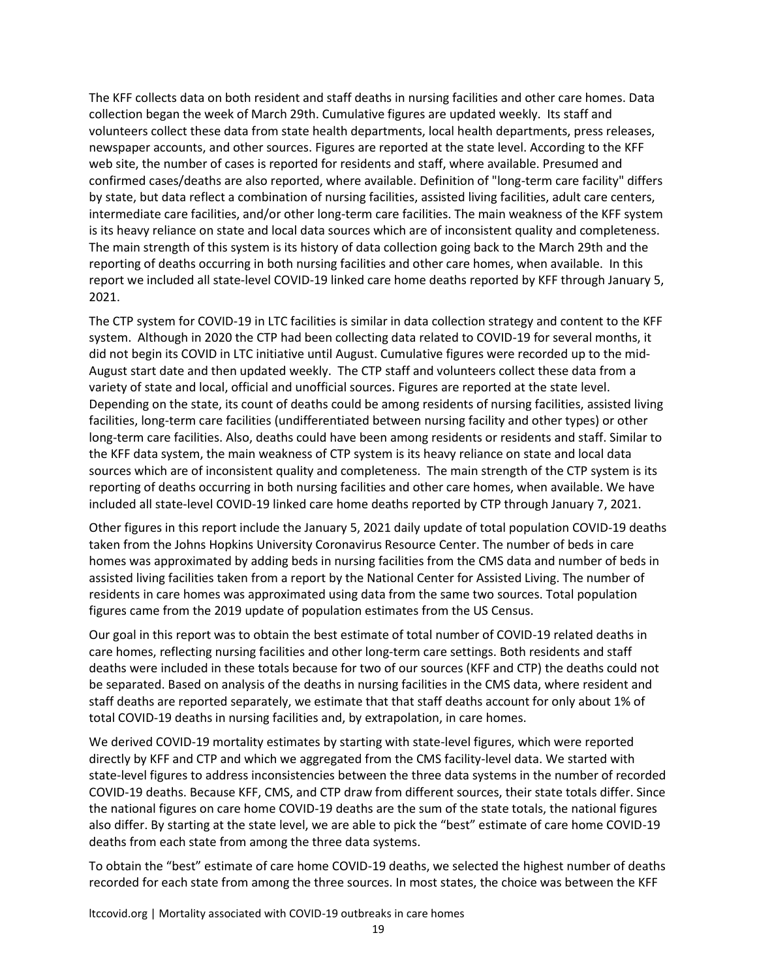The KFF collects data on both resident and staff deaths in nursing facilities and other care homes. Data collection began the week of March 29th. Cumulative figures are updated weekly. Its staff and volunteers collect these data from state health departments, local health departments, press releases, newspaper accounts, and other sources. Figures are reported at the state level. According to the KFF web site, the number of cases is reported for residents and staff, where available. Presumed and confirmed cases/deaths are also reported, where available. Definition of "long-term care facility" differs by state, but data reflect a combination of nursing facilities, assisted living facilities, adult care centers, intermediate care facilities, and/or other long-term care facilities. The main weakness of the KFF system is its heavy reliance on state and local data sources which are of inconsistent quality and completeness. The main strength of this system is its history of data collection going back to the March 29th and the reporting of deaths occurring in both nursing facilities and other care homes, when available. In this report we included all state-level COVID-19 linked care home deaths reported by KFF through January 5, 2021.

The CTP system for COVID-19 in LTC facilities is similar in data collection strategy and content to the KFF system. Although in 2020 the CTP had been collecting data related to COVID-19 for several months, it did not begin its COVID in LTC initiative until August. Cumulative figures were recorded up to the mid-August start date and then updated weekly. The CTP staff and volunteers collect these data from a variety of state and local, official and unofficial sources. Figures are reported at the state level. Depending on the state, its count of deaths could be among residents of nursing facilities, assisted living facilities, long-term care facilities (undifferentiated between nursing facility and other types) or other long-term care facilities. Also, deaths could have been among residents or residents and staff. Similar to the KFF data system, the main weakness of CTP system is its heavy reliance on state and local data sources which are of inconsistent quality and completeness. The main strength of the CTP system is its reporting of deaths occurring in both nursing facilities and other care homes, when available. We have included all state-level COVID-19 linked care home deaths reported by CTP through January 7, 2021.

Other figures in this report include the January 5, 2021 daily update of total population COVID-19 deaths taken from the Johns Hopkins University Coronavirus Resource Center. The number of beds in care homes was approximated by adding beds in nursing facilities from the CMS data and number of beds in assisted living facilities taken from a report by the National Center for Assisted Living. The number of residents in care homes was approximated using data from the same two sources. Total population figures came from the 2019 update of population estimates from the US Census.

Our goal in this report was to obtain the best estimate of total number of COVID-19 related deaths in care homes, reflecting nursing facilities and other long-term care settings. Both residents and staff deaths were included in these totals because for two of our sources (KFF and CTP) the deaths could not be separated. Based on analysis of the deaths in nursing facilities in the CMS data, where resident and staff deaths are reported separately, we estimate that that staff deaths account for only about 1% of total COVID-19 deaths in nursing facilities and, by extrapolation, in care homes.

We derived COVID-19 mortality estimates by starting with state-level figures, which were reported directly by KFF and CTP and which we aggregated from the CMS facility-level data. We started with state-level figures to address inconsistencies between the three data systems in the number of recorded COVID-19 deaths. Because KFF, CMS, and CTP draw from different sources, their state totals differ. Since the national figures on care home COVID-19 deaths are the sum of the state totals, the national figures also differ. By starting at the state level, we are able to pick the "best" estimate of care home COVID-19 deaths from each state from among the three data systems.

To obtain the "best" estimate of care home COVID-19 deaths, we selected the highest number of deaths recorded for each state from among the three sources. In most states, the choice was between the KFF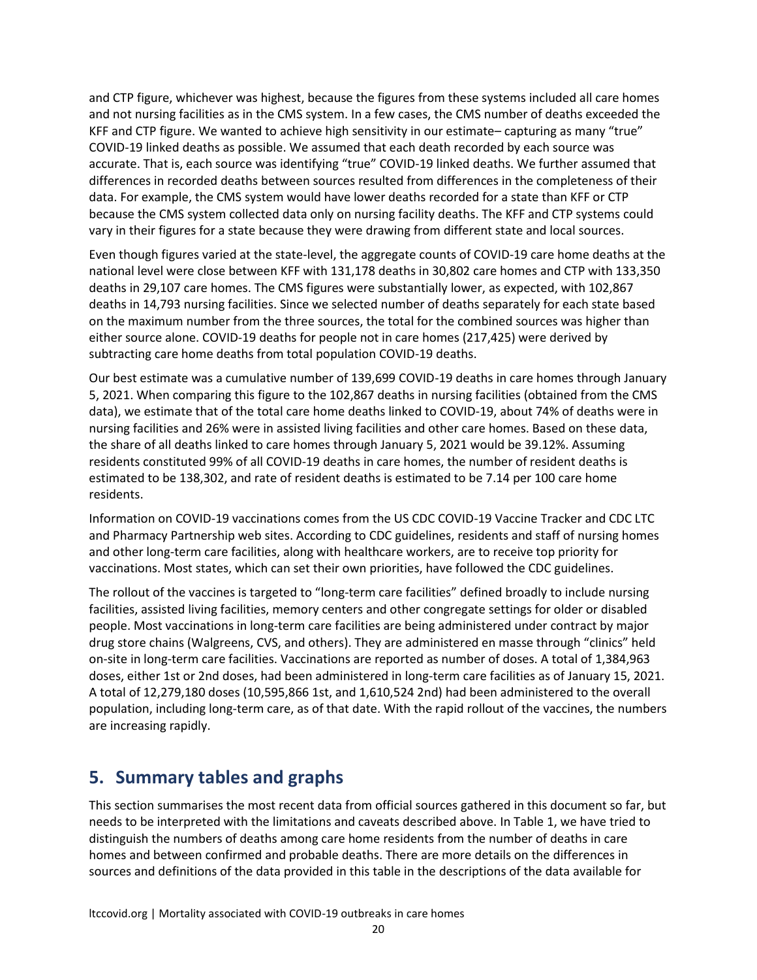and CTP figure, whichever was highest, because the figures from these systems included all care homes and not nursing facilities as in the CMS system. In a few cases, the CMS number of deaths exceeded the KFF and CTP figure. We wanted to achieve high sensitivity in our estimate– capturing as many "true" COVID-19 linked deaths as possible. We assumed that each death recorded by each source was accurate. That is, each source was identifying "true" COVID-19 linked deaths. We further assumed that differences in recorded deaths between sources resulted from differences in the completeness of their data. For example, the CMS system would have lower deaths recorded for a state than KFF or CTP because the CMS system collected data only on nursing facility deaths. The KFF and CTP systems could vary in their figures for a state because they were drawing from different state and local sources.

Even though figures varied at the state-level, the aggregate counts of COVID-19 care home deaths at the national level were close between KFF with 131,178 deaths in 30,802 care homes and CTP with 133,350 deaths in 29,107 care homes. The CMS figures were substantially lower, as expected, with 102,867 deaths in 14,793 nursing facilities. Since we selected number of deaths separately for each state based on the maximum number from the three sources, the total for the combined sources was higher than either source alone. COVID-19 deaths for people not in care homes (217,425) were derived by subtracting care home deaths from total population COVID-19 deaths.

Our best estimate was a cumulative number of 139,699 COVID-19 deaths in care homes through January 5, 2021. When comparing this figure to the 102,867 deaths in nursing facilities (obtained from the CMS data), we estimate that of the total care home deaths linked to COVID-19, about 74% of deaths were in nursing facilities and 26% were in assisted living facilities and other care homes. Based on these data, the share of all deaths linked to care homes through January 5, 2021 would be 39.12%. Assuming residents constituted 99% of all COVID-19 deaths in care homes, the number of resident deaths is estimated to be 138,302, and rate of resident deaths is estimated to be 7.14 per 100 care home residents.

Information on COVID-19 vaccinations comes from the US CDC COVID-19 Vaccine Tracker and CDC LTC and Pharmacy Partnership web sites. According to CDC guidelines, residents and staff of nursing homes and other long-term care facilities, along with healthcare workers, are to receive top priority for vaccinations. Most states, which can set their own priorities, have followed the CDC guidelines.

The rollout of the vaccines is targeted to "long-term care facilities" defined broadly to include nursing facilities, assisted living facilities, memory centers and other congregate settings for older or disabled people. Most vaccinations in long-term care facilities are being administered under contract by major drug store chains (Walgreens, CVS, and others). They are administered en masse through "clinics" held on-site in long-term care facilities. Vaccinations are reported as number of doses. A total of 1,384,963 doses, either 1st or 2nd doses, had been administered in long-term care facilities as of January 15, 2021. A total of 12,279,180 doses (10,595,866 1st, and 1,610,524 2nd) had been administered to the overall population, including long-term care, as of that date. With the rapid rollout of the vaccines, the numbers are increasing rapidly.

# **5. Summary tables and graphs**

This section summarises the most recent data from official sources gathered in this document so far, but needs to be interpreted with the limitations and caveats described above. In Table 1, we have tried to distinguish the numbers of deaths among care home residents from the number of deaths in care homes and between confirmed and probable deaths. There are more details on the differences in sources and definitions of the data provided in this table in the descriptions of the data available for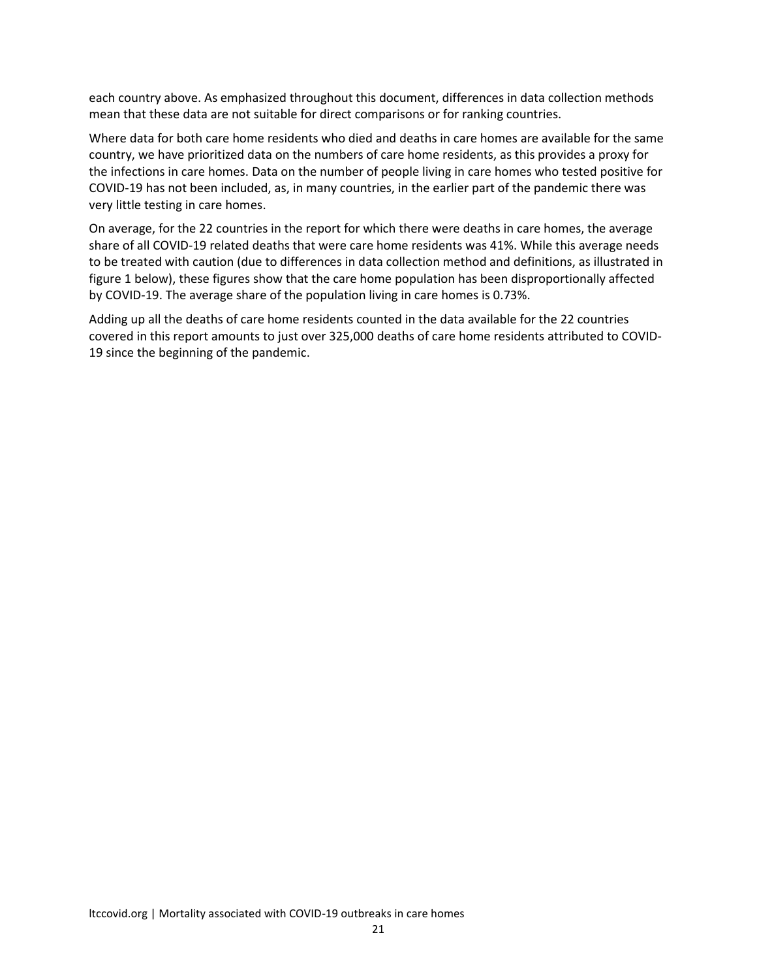each country above. As emphasized throughout this document, differences in data collection methods mean that these data are not suitable for direct comparisons or for ranking countries.

Where data for both care home residents who died and deaths in care homes are available for the same country, we have prioritized data on the numbers of care home residents, as this provides a proxy for the infections in care homes. Data on the number of people living in care homes who tested positive for COVID-19 has not been included, as, in many countries, in the earlier part of the pandemic there was very little testing in care homes.

On average, for the 22 countries in the report for which there were deaths in care homes, the average share of all COVID-19 related deaths that were care home residents was 41%. While this average needs to be treated with caution (due to differences in data collection method and definitions, as illustrated in figure 1 below), these figures show that the care home population has been disproportionally affected by COVID-19. The average share of the population living in care homes is 0.73%.

Adding up all the deaths of care home residents counted in the data available for the 22 countries covered in this report amounts to just over 325,000 deaths of care home residents attributed to COVID-19 since the beginning of the pandemic.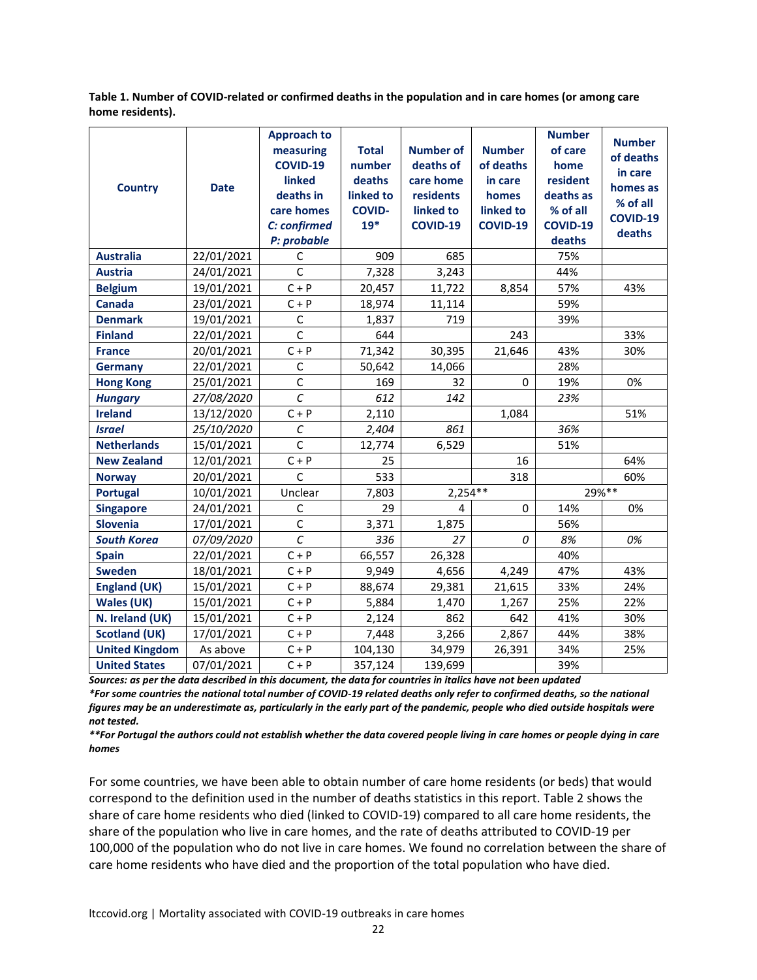**Table 1. Number of COVID-related or confirmed deaths in the population and in care homes (or among care home residents).**

| <b>Country</b>        | <b>Date</b> | <b>Approach to</b><br>measuring<br><b>COVID-19</b><br>linked<br>deaths in<br>care homes<br>C: confirmed | <b>Total</b><br>number<br>deaths<br>linked to<br><b>COVID-</b><br>$19*$ | <b>Number of</b><br>deaths of<br>care home<br>residents<br>linked to<br><b>COVID-19</b> | <b>Number</b><br>of deaths<br>in care<br>homes<br>linked to<br>COVID-19 | <b>Number</b><br>of care<br>home<br>resident<br>deaths as<br>% of all<br><b>COVID-19</b> | <b>Number</b><br>of deaths<br>in care<br>homes as<br>% of all<br>COVID-19 |
|-----------------------|-------------|---------------------------------------------------------------------------------------------------------|-------------------------------------------------------------------------|-----------------------------------------------------------------------------------------|-------------------------------------------------------------------------|------------------------------------------------------------------------------------------|---------------------------------------------------------------------------|
|                       |             | P: probable                                                                                             |                                                                         |                                                                                         |                                                                         | deaths                                                                                   | deaths                                                                    |
| <b>Australia</b>      | 22/01/2021  | C                                                                                                       | 909                                                                     | 685                                                                                     |                                                                         | 75%                                                                                      |                                                                           |
| <b>Austria</b>        | 24/01/2021  | $\mathsf{C}$                                                                                            | 7,328                                                                   | 3,243                                                                                   |                                                                         | 44%                                                                                      |                                                                           |
| <b>Belgium</b>        | 19/01/2021  | $C + P$                                                                                                 | 20,457                                                                  | 11,722                                                                                  | 8,854                                                                   | 57%                                                                                      | 43%                                                                       |
| <b>Canada</b>         | 23/01/2021  | $C + P$                                                                                                 | 18,974                                                                  | 11,114                                                                                  |                                                                         | 59%                                                                                      |                                                                           |
| <b>Denmark</b>        | 19/01/2021  | $\mathsf C$                                                                                             | 1,837                                                                   | 719                                                                                     |                                                                         | 39%                                                                                      |                                                                           |
| <b>Finland</b>        | 22/01/2021  | $\mathsf{C}$                                                                                            | 644                                                                     |                                                                                         | 243                                                                     |                                                                                          | 33%                                                                       |
| <b>France</b>         | 20/01/2021  | $C + P$                                                                                                 | 71,342                                                                  | 30,395                                                                                  | 21,646                                                                  | 43%                                                                                      | 30%                                                                       |
| <b>Germany</b>        | 22/01/2021  | $\mathsf C$                                                                                             | 50,642                                                                  | 14,066                                                                                  |                                                                         | 28%                                                                                      |                                                                           |
| <b>Hong Kong</b>      | 25/01/2021  | $\mathsf C$                                                                                             | 169                                                                     | 32                                                                                      | $\Omega$                                                                | 19%                                                                                      | 0%                                                                        |
| <b>Hungary</b>        | 27/08/2020  | $\mathcal{C}$                                                                                           | 612                                                                     | 142                                                                                     |                                                                         | 23%                                                                                      |                                                                           |
| <b>Ireland</b>        | 13/12/2020  | $C + P$                                                                                                 | 2,110                                                                   |                                                                                         | 1,084                                                                   |                                                                                          | 51%                                                                       |
| <b>Israel</b>         | 25/10/2020  | $\cal C$                                                                                                | 2,404                                                                   | 861                                                                                     |                                                                         | 36%                                                                                      |                                                                           |
| <b>Netherlands</b>    | 15/01/2021  | $\mathsf{C}$                                                                                            | 12,774                                                                  | 6,529                                                                                   |                                                                         | 51%                                                                                      |                                                                           |
| <b>New Zealand</b>    | 12/01/2021  | $C + P$                                                                                                 | 25                                                                      |                                                                                         | 16                                                                      |                                                                                          | 64%                                                                       |
| <b>Norway</b>         | 20/01/2021  | $\mathsf{C}$                                                                                            | 533                                                                     |                                                                                         | 318                                                                     |                                                                                          | 60%                                                                       |
| <b>Portugal</b>       | 10/01/2021  | Unclear                                                                                                 | 7,803                                                                   | $2,254**$                                                                               | $29%**$                                                                 |                                                                                          |                                                                           |
| <b>Singapore</b>      | 24/01/2021  | $\mathsf C$                                                                                             | 29                                                                      | 4                                                                                       | 0                                                                       | 14%                                                                                      | 0%                                                                        |
| <b>Slovenia</b>       | 17/01/2021  | $\mathsf C$                                                                                             | 3,371                                                                   | 1,875                                                                                   |                                                                         | 56%                                                                                      |                                                                           |
| <b>South Korea</b>    | 07/09/2020  | $\mathcal C$                                                                                            | 336                                                                     | 27                                                                                      | 0                                                                       | 8%                                                                                       | 0%                                                                        |
| <b>Spain</b>          | 22/01/2021  | $C + P$                                                                                                 | 66,557                                                                  | 26,328                                                                                  |                                                                         | 40%                                                                                      |                                                                           |
| <b>Sweden</b>         | 18/01/2021  | $C + P$                                                                                                 | 9,949                                                                   | 4,656                                                                                   | 4,249                                                                   | 47%                                                                                      | 43%                                                                       |
| <b>England (UK)</b>   | 15/01/2021  | $C + P$                                                                                                 | 88,674                                                                  | 29,381                                                                                  | 21,615                                                                  | 33%                                                                                      | 24%                                                                       |
| <b>Wales (UK)</b>     | 15/01/2021  | $C + P$                                                                                                 | 5,884                                                                   | 1,470                                                                                   | 1,267                                                                   | 25%                                                                                      | 22%                                                                       |
| N. Ireland (UK)       | 15/01/2021  | $C + P$                                                                                                 | 2,124                                                                   | 862                                                                                     | 642                                                                     | 41%                                                                                      | 30%                                                                       |
| <b>Scotland (UK)</b>  | 17/01/2021  | $C + P$                                                                                                 | 7,448                                                                   | 3,266                                                                                   | 2,867                                                                   | 44%                                                                                      | 38%                                                                       |
| <b>United Kingdom</b> | As above    | $C + P$                                                                                                 | 104,130                                                                 | 34,979                                                                                  | 26,391                                                                  | 34%                                                                                      | 25%                                                                       |
| <b>United States</b>  | 07/01/2021  | $C + P$                                                                                                 | 357,124                                                                 | 139,699                                                                                 |                                                                         | 39%                                                                                      |                                                                           |

*Sources: as per the data described in this document, the data for countries in italics have not been updated \*For some countries the national total number of COVID-19 related deaths only refer to confirmed deaths, so the national figures may be an underestimate as, particularly in the early part of the pandemic, people who died outside hospitals were not tested.*

*\*\*For Portugal the authors could not establish whether the data covered people living in care homes or people dying in care homes*

For some countries, we have been able to obtain number of care home residents (or beds) that would correspond to the definition used in the number of deaths statistics in this report. Table 2 shows the share of care home residents who died (linked to COVID-19) compared to all care home residents, the share of the population who live in care homes, and the rate of deaths attributed to COVID-19 per 100,000 of the population who do not live in care homes. We found no correlation between the share of care home residents who have died and the proportion of the total population who have died.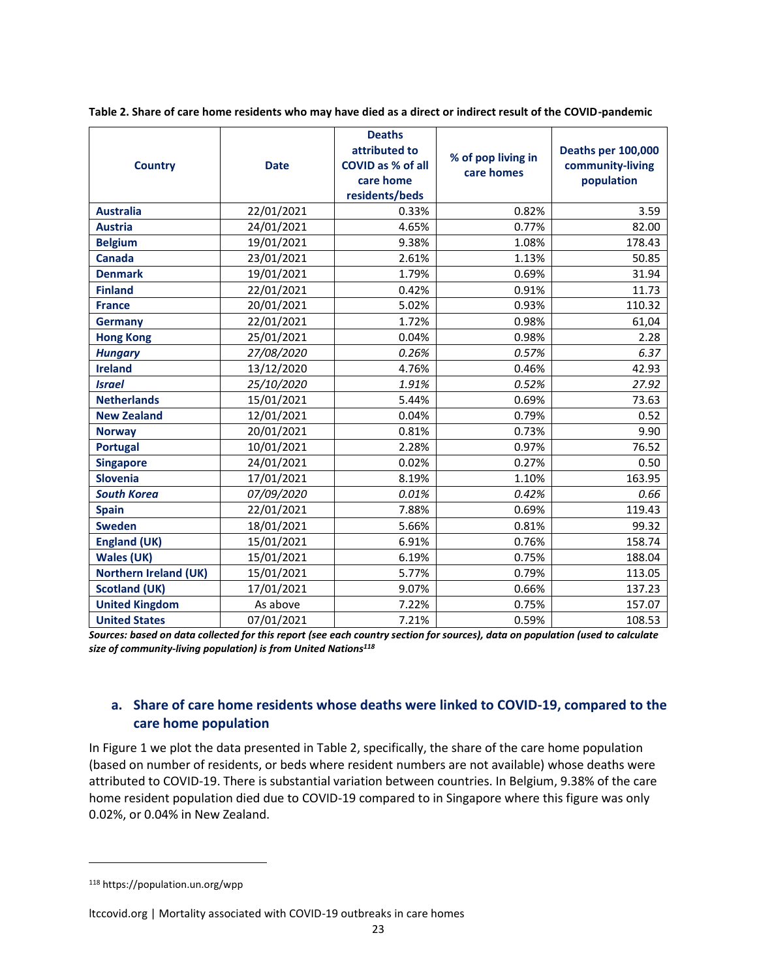| <b>Country</b>               | <b>Date</b> | <b>Deaths</b><br>attributed to<br>COVID as % of all<br>care home<br>residents/beds | % of pop living in<br>care homes | Deaths per 100,000<br>community-living<br>population |
|------------------------------|-------------|------------------------------------------------------------------------------------|----------------------------------|------------------------------------------------------|
| <b>Australia</b>             | 22/01/2021  | 0.33%                                                                              | 0.82%                            | 3.59                                                 |
| <b>Austria</b>               | 24/01/2021  | 4.65%                                                                              | 0.77%                            | 82.00                                                |
| <b>Belgium</b>               | 19/01/2021  | 9.38%                                                                              | 1.08%                            | 178.43                                               |
| <b>Canada</b>                | 23/01/2021  | 2.61%                                                                              | 1.13%                            | 50.85                                                |
| <b>Denmark</b>               | 19/01/2021  | 1.79%                                                                              | 0.69%                            | 31.94                                                |
| <b>Finland</b>               | 22/01/2021  | 0.42%                                                                              | 0.91%                            | 11.73                                                |
| <b>France</b>                | 20/01/2021  | 5.02%                                                                              | 0.93%                            | 110.32                                               |
| <b>Germany</b>               | 22/01/2021  | 1.72%                                                                              | 0.98%                            | 61,04                                                |
| <b>Hong Kong</b>             | 25/01/2021  | 0.04%                                                                              | 0.98%                            | 2.28                                                 |
| <b>Hungary</b>               | 27/08/2020  | 0.26%                                                                              | 0.57%                            | 6.37                                                 |
| <b>Ireland</b>               | 13/12/2020  | 4.76%                                                                              | 0.46%                            | 42.93                                                |
| <b>Israel</b>                | 25/10/2020  | 1.91%                                                                              | 0.52%                            | 27.92                                                |
| <b>Netherlands</b>           | 15/01/2021  | 5.44%                                                                              | 0.69%                            | 73.63                                                |
| <b>New Zealand</b>           | 12/01/2021  | 0.04%                                                                              | 0.79%                            | 0.52                                                 |
| <b>Norway</b>                | 20/01/2021  | 0.81%                                                                              | 0.73%                            | 9.90                                                 |
| <b>Portugal</b>              | 10/01/2021  | 2.28%                                                                              | 0.97%                            | 76.52                                                |
| <b>Singapore</b>             | 24/01/2021  | 0.02%                                                                              | 0.27%                            | 0.50                                                 |
| <b>Slovenia</b>              | 17/01/2021  | 8.19%                                                                              | 1.10%                            | 163.95                                               |
| <b>South Korea</b>           | 07/09/2020  | 0.01%                                                                              | 0.42%                            | 0.66                                                 |
| <b>Spain</b>                 | 22/01/2021  | 7.88%                                                                              | 0.69%                            | 119.43                                               |
| <b>Sweden</b>                | 18/01/2021  | 5.66%                                                                              | 0.81%                            | 99.32                                                |
| <b>England (UK)</b>          | 15/01/2021  | 6.91%                                                                              | 0.76%                            | 158.74                                               |
| <b>Wales (UK)</b>            | 15/01/2021  | 6.19%                                                                              | 0.75%                            | 188.04                                               |
| <b>Northern Ireland (UK)</b> | 15/01/2021  | 5.77%                                                                              | 0.79%                            | 113.05                                               |
| <b>Scotland (UK)</b>         | 17/01/2021  | 9.07%                                                                              | 0.66%                            | 137.23                                               |
| <b>United Kingdom</b>        | As above    | 7.22%                                                                              | 0.75%                            | 157.07                                               |
| <b>United States</b>         | 07/01/2021  | 7.21%                                                                              | 0.59%                            | 108.53                                               |

**Table 2. Share of care home residents who may have died as a direct or indirect result of the COVID-pandemic**

*Sources: based on data collected for this report (see each country section for sources), data on population (used to calculate size of community-living population) is from United Nations<sup>118</sup>*

### **a. Share of care home residents whose deaths were linked to COVID-19, compared to the care home population**

In Figure 1 we plot the data presented in Table 2, specifically, the share of the care home population (based on number of residents, or beds where resident numbers are not available) whose deaths were attributed to COVID-19. There is substantial variation between countries. In Belgium, 9.38% of the care home resident population died due to COVID-19 compared to in Singapore where this figure was only 0.02%, or 0.04% in New Zealand.

<sup>118</sup> https://population.un.org/wpp

ltccovid.org | Mortality associated with COVID-19 outbreaks in care homes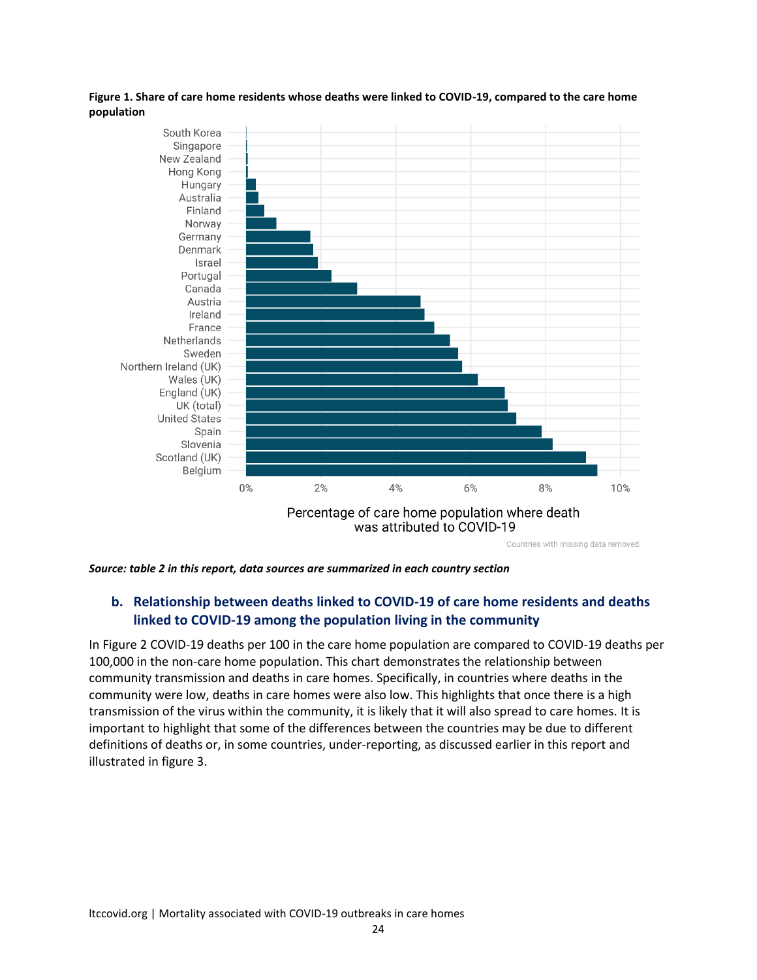#### **Figure 1. Share of care home residents whose deaths were linked to COVID-19, compared to the care home population**



*Source: table 2 in this report, data sources are summarized in each country section*

### **b. Relationship between deaths linked to COVID-19 of care home residents and deaths linked to COVID-19 among the population living in the community**

In Figure 2 COVID-19 deaths per 100 in the care home population are compared to COVID-19 deaths per 100,000 in the non-care home population. This chart demonstrates the relationship between community transmission and deaths in care homes. Specifically, in countries where deaths in the community were low, deaths in care homes were also low. This highlights that once there is a high transmission of the virus within the community, it is likely that it will also spread to care homes. It is important to highlight that some of the differences between the countries may be due to different definitions of deaths or, in some countries, under-reporting, as discussed earlier in this report and illustrated in figure 3.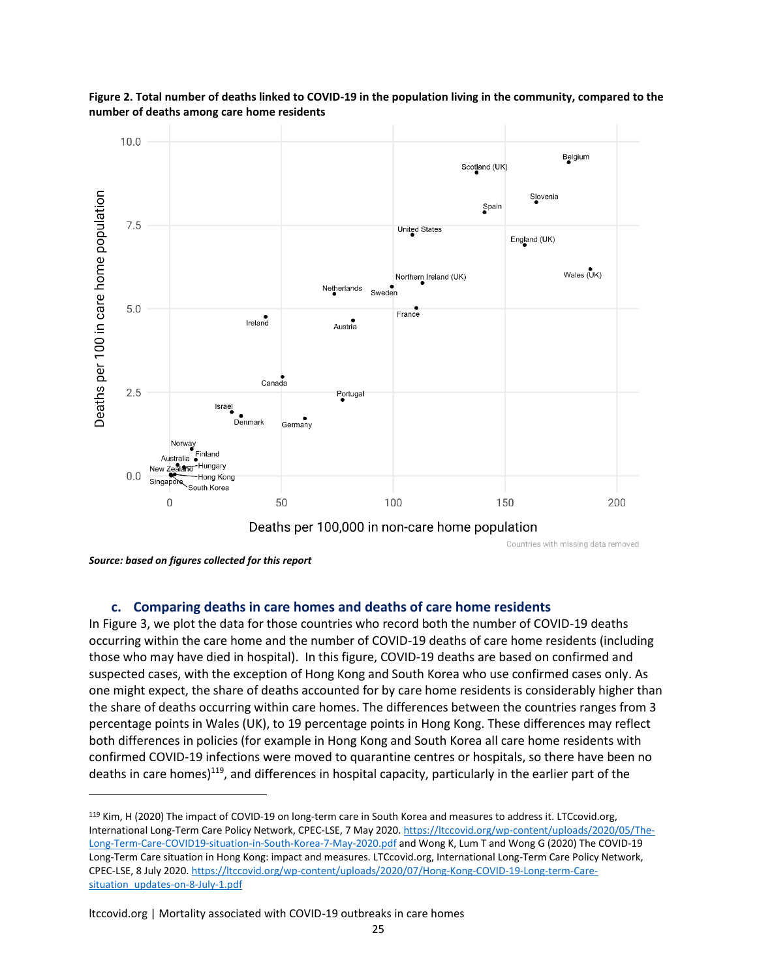

**Figure 2. Total number of deaths linked to COVID-19 in the population living in the community, compared to the number of deaths among care home residents**

*Source: based on figures collected for this report*

#### **c. Comparing deaths in care homes and deaths of care home residents**

In Figure 3, we plot the data for those countries who record both the number of COVID-19 deaths occurring within the care home and the number of COVID-19 deaths of care home residents (including those who may have died in hospital). In this figure, COVID-19 deaths are based on confirmed and suspected cases, with the exception of Hong Kong and South Korea who use confirmed cases only. As one might expect, the share of deaths accounted for by care home residents is considerably higher than the share of deaths occurring within care homes. The differences between the countries ranges from 3 percentage points in Wales (UK), to 19 percentage points in Hong Kong. These differences may reflect both differences in policies (for example in Hong Kong and South Korea all care home residents with confirmed COVID-19 infections were moved to quarantine centres or hospitals, so there have been no deaths in care homes)<sup>119</sup>, and differences in hospital capacity, particularly in the earlier part of the

<sup>119</sup> Kim, H (2020) The impact of COVID-19 on long-term care in South Korea and measures to address it. LTCcovid.org, International Long-Term Care Policy Network, CPEC-LSE, 7 May 2020[. https://ltccovid.org/wp-content/uploads/2020/05/The-](https://ltccovid.org/wp-content/uploads/2020/05/The-Long-Term-Care-COVID19-situation-in-South-Korea-7-May-2020.pdf)[Long-Term-Care-COVID19-situation-in-South-Korea-7-May-2020.pdf](https://ltccovid.org/wp-content/uploads/2020/05/The-Long-Term-Care-COVID19-situation-in-South-Korea-7-May-2020.pdf) and Wong K, Lum T and Wong G (2020) The COVID-19 Long-Term Care situation in Hong Kong: impact and measures. LTCcovid.org, International Long-Term Care Policy Network, CPEC-LSE, 8 July 2020. [https://ltccovid.org/wp-content/uploads/2020/07/Hong-Kong-COVID-19-Long-term-Care](https://ltccovid.org/wp-content/uploads/2020/07/Hong-Kong-COVID-19-Long-term-Care-situation_updates-on-8-July-1.pdf)[situation\\_updates-on-8-July-1.pdf](https://ltccovid.org/wp-content/uploads/2020/07/Hong-Kong-COVID-19-Long-term-Care-situation_updates-on-8-July-1.pdf)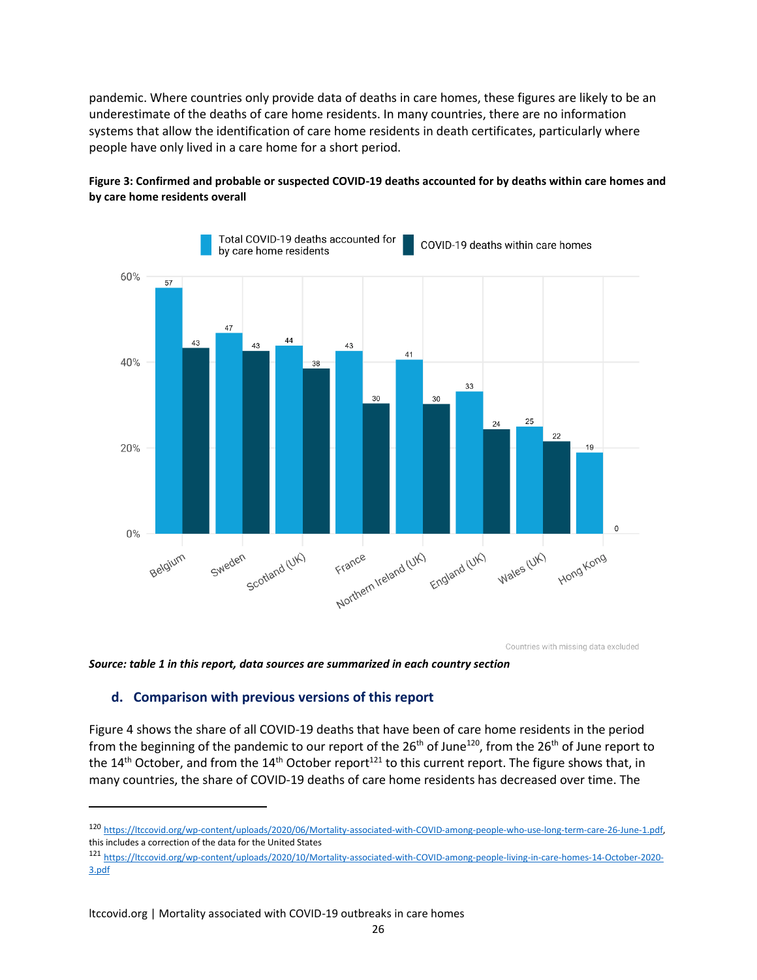pandemic. Where countries only provide data of deaths in care homes, these figures are likely to be an underestimate of the deaths of care home residents. In many countries, there are no information systems that allow the identification of care home residents in death certificates, particularly where people have only lived in a care home for a short period.





Countries with missing data excluded

*Source: table 1 in this report, data sources are summarized in each country section*

#### **d. Comparison with previous versions of this report**

Figure 4 shows the share of all COVID-19 deaths that have been of care home residents in the period from the beginning of the pandemic to our report of the 26<sup>th</sup> of June<sup>120</sup>, from the 26<sup>th</sup> of June report to the 14<sup>th</sup> October, and from the 14<sup>th</sup> October report<sup>121</sup> to this current report. The figure shows that, in many countries, the share of COVID-19 deaths of care home residents has decreased over time. The

<sup>120</sup> [https://ltccovid.org/wp-content/uploads/2020/06/Mortality-associated-with-COVID-among-people-who-use-long-term-care-26-June-1.pdf,](https://ltccovid.org/wp-content/uploads/2020/06/Mortality-associated-with-COVID-among-people-who-use-long-term-care-26-June-1.pdf)  this includes a correction of the data for the United States

<sup>121</sup> [https://ltccovid.org/wp-content/uploads/2020/10/Mortality-associated-with-COVID-among-people-living-in-care-homes-14-October-2020-](https://ltccovid.org/wp-content/uploads/2020/10/Mortality-associated-with-COVID-among-people-living-in-care-homes-14-October-2020-3.pdf) [3.pdf](https://ltccovid.org/wp-content/uploads/2020/10/Mortality-associated-with-COVID-among-people-living-in-care-homes-14-October-2020-3.pdf)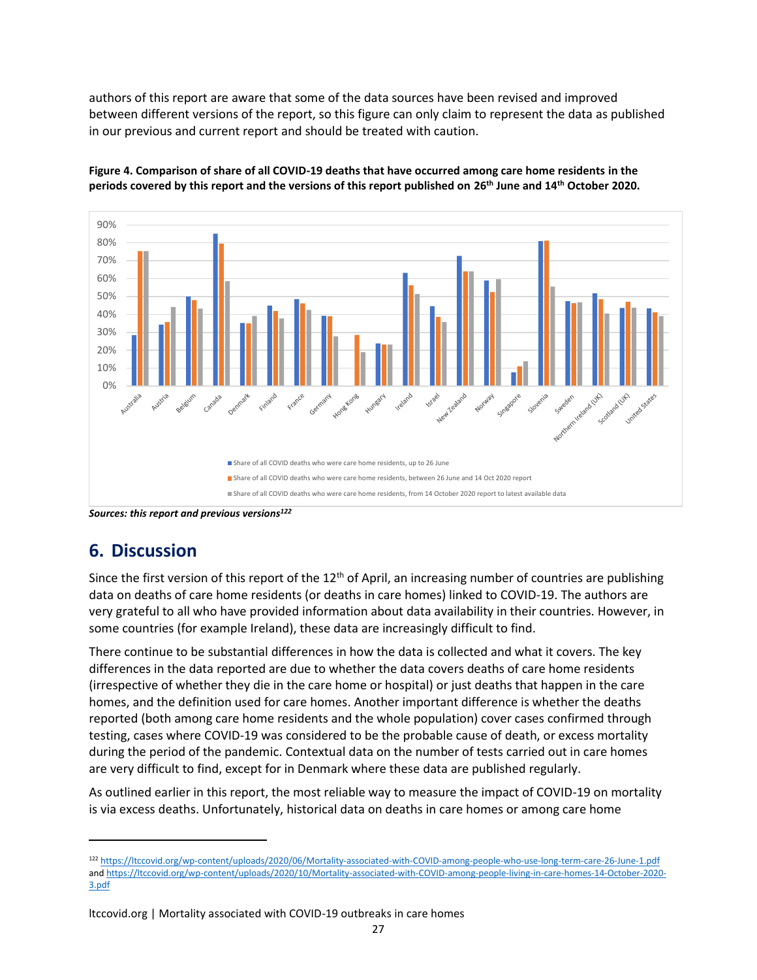authors of this report are aware that some of the data sources have been revised and improved between different versions of the report, so this figure can only claim to represent the data as published in our previous and current report and should be treated with caution.



**Figure 4. Comparison of share of all COVID-19 deaths that have occurred among care home residents in the periods covered by this report and the versions of this report published on 26th June and 14th October 2020.**

*Sources: this report and previous versions<sup>122</sup>*

# **6. Discussion**

Since the first version of this report of the  $12<sup>th</sup>$  of April, an increasing number of countries are publishing data on deaths of care home residents (or deaths in care homes) linked to COVID-19. The authors are very grateful to all who have provided information about data availability in their countries. However, in some countries (for example Ireland), these data are increasingly difficult to find.

There continue to be substantial differences in how the data is collected and what it covers. The key differences in the data reported are due to whether the data covers deaths of care home residents (irrespective of whether they die in the care home or hospital) or just deaths that happen in the care homes, and the definition used for care homes. Another important difference is whether the deaths reported (both among care home residents and the whole population) cover cases confirmed through testing, cases where COVID-19 was considered to be the probable cause of death, or excess mortality during the period of the pandemic. Contextual data on the number of tests carried out in care homes are very difficult to find, except for in Denmark where these data are published regularly.

As outlined earlier in this report, the most reliable way to measure the impact of COVID-19 on mortality is via excess deaths. Unfortunately, historical data on deaths in care homes or among care home

<sup>122</sup> <https://ltccovid.org/wp-content/uploads/2020/06/Mortality-associated-with-COVID-among-people-who-use-long-term-care-26-June-1.pdf> an[d https://ltccovid.org/wp-content/uploads/2020/10/Mortality-associated-with-COVID-among-people-living-in-care-homes-14-October-2020-](https://ltccovid.org/wp-content/uploads/2020/10/Mortality-associated-with-COVID-among-people-living-in-care-homes-14-October-2020-3.pdf) [3.pdf](https://ltccovid.org/wp-content/uploads/2020/10/Mortality-associated-with-COVID-among-people-living-in-care-homes-14-October-2020-3.pdf)

ltccovid.org | Mortality associated with COVID-19 outbreaks in care homes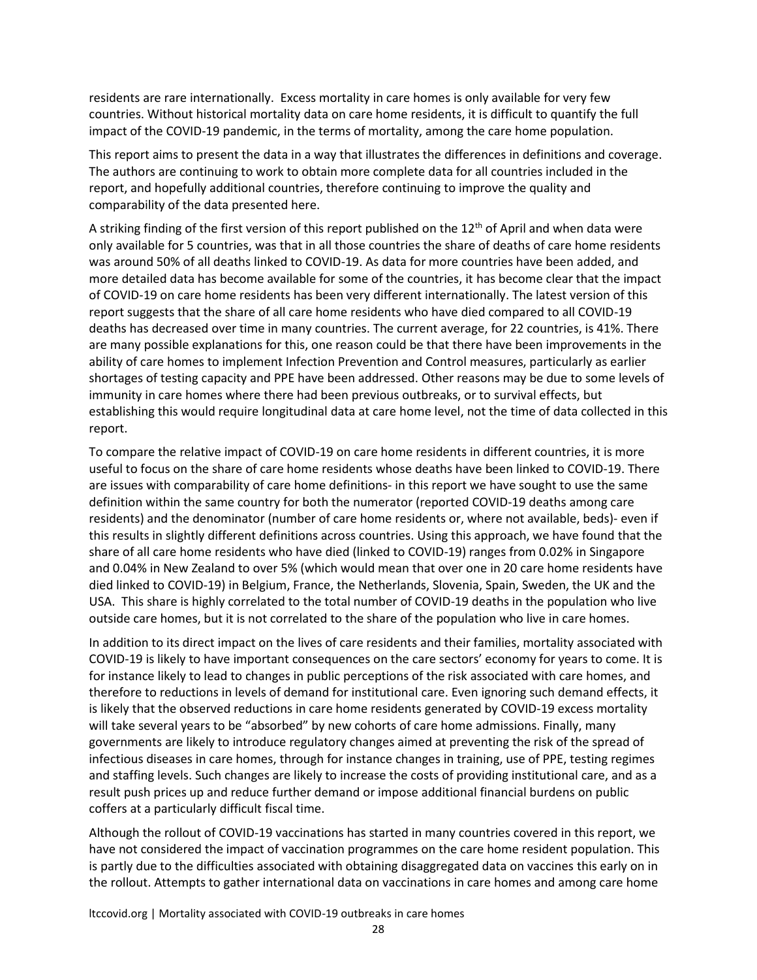residents are rare internationally. Excess mortality in care homes is only available for very few countries. Without historical mortality data on care home residents, it is difficult to quantify the full impact of the COVID-19 pandemic, in the terms of mortality, among the care home population.

This report aims to present the data in a way that illustrates the differences in definitions and coverage. The authors are continuing to work to obtain more complete data for all countries included in the report, and hopefully additional countries, therefore continuing to improve the quality and comparability of the data presented here.

A striking finding of the first version of this report published on the  $12<sup>th</sup>$  of April and when data were only available for 5 countries, was that in all those countries the share of deaths of care home residents was around 50% of all deaths linked to COVID-19. As data for more countries have been added, and more detailed data has become available for some of the countries, it has become clear that the impact of COVID-19 on care home residents has been very different internationally. The latest version of this report suggests that the share of all care home residents who have died compared to all COVID-19 deaths has decreased over time in many countries. The current average, for 22 countries, is 41%. There are many possible explanations for this, one reason could be that there have been improvements in the ability of care homes to implement Infection Prevention and Control measures, particularly as earlier shortages of testing capacity and PPE have been addressed. Other reasons may be due to some levels of immunity in care homes where there had been previous outbreaks, or to survival effects, but establishing this would require longitudinal data at care home level, not the time of data collected in this report.

To compare the relative impact of COVID-19 on care home residents in different countries, it is more useful to focus on the share of care home residents whose deaths have been linked to COVID-19. There are issues with comparability of care home definitions- in this report we have sought to use the same definition within the same country for both the numerator (reported COVID-19 deaths among care residents) and the denominator (number of care home residents or, where not available, beds)- even if this results in slightly different definitions across countries. Using this approach, we have found that the share of all care home residents who have died (linked to COVID-19) ranges from 0.02% in Singapore and 0.04% in New Zealand to over 5% (which would mean that over one in 20 care home residents have died linked to COVID-19) in Belgium, France, the Netherlands, Slovenia, Spain, Sweden, the UK and the USA. This share is highly correlated to the total number of COVID-19 deaths in the population who live outside care homes, but it is not correlated to the share of the population who live in care homes.

In addition to its direct impact on the lives of care residents and their families, mortality associated with COVID-19 is likely to have important consequences on the care sectors' economy for years to come. It is for instance likely to lead to changes in public perceptions of the risk associated with care homes, and therefore to reductions in levels of demand for institutional care. Even ignoring such demand effects, it is likely that the observed reductions in care home residents generated by COVID-19 excess mortality will take several years to be "absorbed" by new cohorts of care home admissions. Finally, many governments are likely to introduce regulatory changes aimed at preventing the risk of the spread of infectious diseases in care homes, through for instance changes in training, use of PPE, testing regimes and staffing levels. Such changes are likely to increase the costs of providing institutional care, and as a result push prices up and reduce further demand or impose additional financial burdens on public coffers at a particularly difficult fiscal time.

Although the rollout of COVID-19 vaccinations has started in many countries covered in this report, we have not considered the impact of vaccination programmes on the care home resident population. This is partly due to the difficulties associated with obtaining disaggregated data on vaccines this early on in the rollout. Attempts to gather international data on vaccinations in care homes and among care home